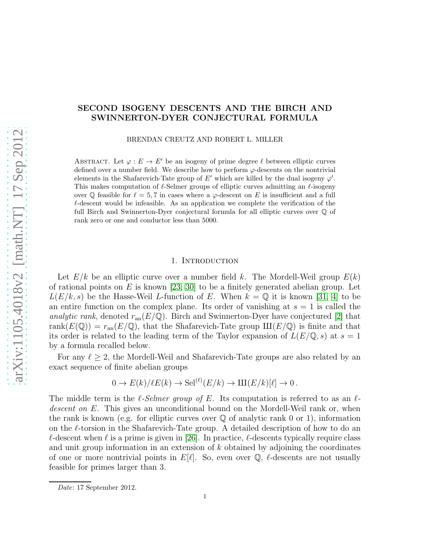# SECOND ISOGENY DESCENTS AND THE BIRCH AND SWINNERTON-DYER CONJECTURAL FORMULA

BRENDAN CREUTZ AND ROBERT L. MILLER

ABSTRACT. Let  $\varphi : E \to E'$  be an isogeny of prime degree  $\ell$  between elliptic curves defined over a number field. We describe how to perform  $\varphi$ -descents on the nontrivial elements in the Shafarevich-Tate group of E' which are killed by the dual isogeny  $\varphi'$ . This makes computation of  $\ell$ -Selmer groups of elliptic curves admitting an  $\ell$ -isogeny over Q feasible for  $\ell = 5, 7$  in cases where a  $\varphi$ -descent on E is insufficient and a full  $\ell$ -descent would be infeasible. As an application we complete the verification of the full Birch and Swinnerton-Dyer conjectural formula for all elliptic curves over Q of rank zero or one and conductor less than 5000.

#### 1. INTRODUCTION

Let  $E/k$  be an elliptic curve over a number field k. The Mordell-Weil group  $E(k)$ of rational points on E is known [\[23,](#page-32-0) [30\]](#page-32-1) to be a finitely generated abelian group. Let  $L(E/k, s)$  be the Hasse-Weil L-function of E. When  $k = \mathbb{Q}$  it is known [\[31,](#page-32-2) [4\]](#page-31-0) to be an entire function on the complex plane. Its order of vanishing at  $s = 1$  is called the analytic rank, denoted  $r_{an}(E/\mathbb{Q})$ . Birch and Swinnerton-Dyer have conjectured [\[2\]](#page-31-1) that rank $(E(\mathbb{Q})) = r_{\text{an}}(E/\mathbb{Q})$ , that the Shafarevich-Tate group  $III(E/\mathbb{Q})$  is finite and that its order is related to the leading term of the Taylor expansion of  $L(E/\mathbb{Q}, s)$  at  $s = 1$ by a formula recalled below.

For any  $\ell \geq 2$ , the Mordell-Weil and Shafarevich-Tate groups are also related by an exact sequence of finite abelian groups

$$
0 \to E(k)/\ell E(k) \to \mathrm{Sel}^{(\ell)}(E/k) \to \mathrm{III}(E/k)[\ell] \to 0.
$$

The middle term is the  $\ell$ -Selmer group of E. Its computation is referred to as an  $\ell$ descent on E. This gives an unconditional bound on the Mordell-Weil rank or, when the rank is known (e.g. for elliptic curves over  $\mathbb Q$  of analytic rank 0 or 1), information on the  $\ell$ -torsion in the Shafarevich-Tate group. A detailed description of how to do an  $\ell$ -descent when  $\ell$  is a prime is given in [\[26\]](#page-32-3). In practice,  $\ell$ -descents typically require class and unit group information in an extension of  $k$  obtained by adjoining the coordinates of one or more nontrivial points in  $E[\ell]$ . So, even over  $\mathbb Q$ ,  $\ell$ -descents are not usually feasible for primes larger than 3.

*Date*: 17 September 2012.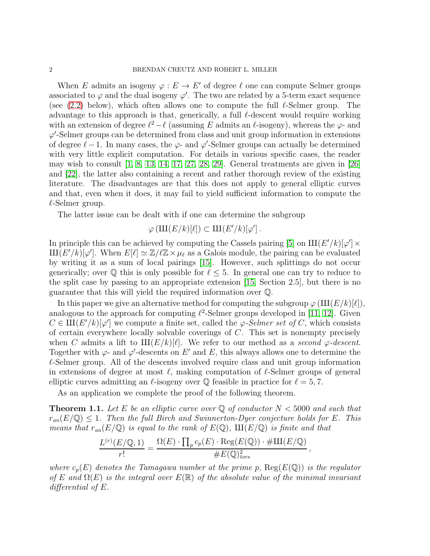When E admits an isogeny  $\varphi : E \to E'$  of degree  $\ell$  one can compute Selmer groups associated to  $\varphi$  and the dual isogeny  $\varphi'$ . The two are related by a 5-term exact sequence (see  $(2.2)$  below), which often allows one to compute the full  $\ell$ -Selmer group. The advantage to this approach is that, generically, a full  $\ell$ -descent would require working with an extension of degree  $\ell^2 - \ell$  (assuming E admits an  $\ell$ -isogeny), whereas the  $\varphi$ - and  $\varphi'$ -Selmer groups can be determined from class and unit group information in extensions of degree  $\ell - 1$ . In many cases, the  $\varphi$ - and  $\varphi'$ -Selmer groups can actually be determined with very little explicit computation. For details in various specific cases, the reader may wish to consult  $[1, 8, 13, 14, 17, 27, 28, 29]$  $[1, 8, 13, 14, 17, 27, 28, 29]$  $[1, 8, 13, 14, 17, 27, 28, 29]$  $[1, 8, 13, 14, 17, 27, 28, 29]$  $[1, 8, 13, 14, 17, 27, 28, 29]$  $[1, 8, 13, 14, 17, 27, 28, 29]$  $[1, 8, 13, 14, 17, 27, 28, 29]$  $[1, 8, 13, 14, 17, 27, 28, 29]$ . General treatments are given in [\[26\]](#page-32-3) and [\[22\]](#page-32-11), the latter also containing a recent and rather thorough review of the existing literature. The disadvantages are that this does not apply to general elliptic curves and that, even when it does, it may fail to yield sufficient information to compute the  $\ell$ -Selmer group.

The latter issue can be dealt with if one can determine the subgroup

$$
\varphi(\mathrm{III}(E/k)[\ell]) \subset \mathrm{III}(E'/k)[\varphi'] .
$$

In principle this can be achieved by computing the Cassels pairing [\[5\]](#page-31-3) on  $III(E'/k)[\varphi'] \times$  $\mathrm{III}(E'/k)[\varphi']$ . When  $E[\ell] \simeq \mathbb{Z}/\ell \mathbb{Z} \times \mu_{\ell}$  as a Galois module, the pairing can be evaluated by writing it as a sum of local pairings [\[15\]](#page-32-12). However, such splittings do not occur generically; over  $\mathbb Q$  this is only possible for  $\ell \leq 5$ . In general one can try to reduce to the split case by passing to an appropriate extension [\[15,](#page-32-12) Section 2.5], but there is no guarantee that this will yield the required information over Q.

In this paper we give an alternative method for computing the subgroup  $\varphi(\text{III}(E/k)[\ell])$ , analogous to the approach for computing  $\ell^2$ -Selmer groups developed in [\[11,](#page-32-13) [12\]](#page-32-14). Given  $C \in \mathrm{III}(E'/k)[\varphi']$  we compute a finite set, called the  $\varphi$ -Selmer set of C, which consists of certain everywhere locally solvable coverings of C. This set is nonempty precisely when C admits a lift to  $\text{III}(E/k)[\ell]$ . We refer to our method as a second  $\varphi$ -descent. Together with  $\varphi$ - and  $\varphi'$ -descents on E' and E, this always allows one to determine the  $\ell$ -Selmer group. All of the descents involved require class and unit group information in extensions of degree at most  $\ell$ , making computation of  $\ell$ -Selmer groups of general elliptic curves admitting an  $\ell$ -isogeny over  $\mathbb Q$  feasible in practice for  $\ell = 5, 7$ .

As an application we complete the proof of the following theorem.

<span id="page-1-0"></span>**Theorem 1.1.** Let E be an elliptic curve over Q of conductor  $N < 5000$  and such that  $r_{an}(E/\mathbb{Q}) \leq 1$ . Then the full Birch and Swinnerton-Dyer conjecture holds for E. This means that  $r_{an}(E/\mathbb{Q})$  is equal to the rank of  $E(\mathbb{Q})$ ,  $\text{III}(E/\mathbb{Q})$  is finite and that

$$
\frac{L^{(r)}(E/\mathbb{Q},1)}{r!} = \frac{\Omega(E) \cdot \prod_p c_p(E) \cdot \text{Reg}(E(\mathbb{Q})) \cdot \# \text{III}(E/\mathbb{Q})}{\#E(\mathbb{Q})_{tors}^2},
$$

where  $c_p(E)$  denotes the Tamagawa number at the prime p,  $\text{Reg}(E(\mathbb{Q}))$  is the regulator of E and  $\Omega(E)$  is the integral over  $E(\mathbb{R})$  of the absolute value of the minimal invariant differential of E.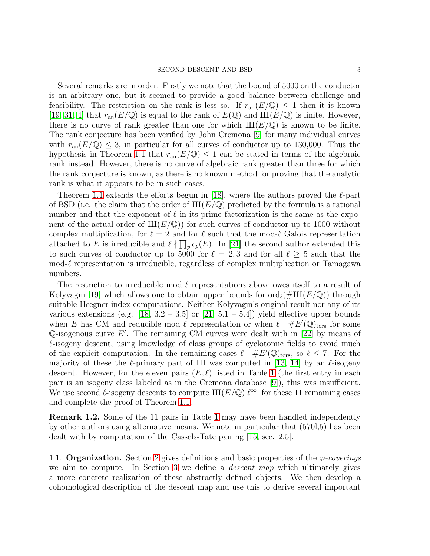Several remarks are in order. Firstly we note that the bound of 5000 on the conductor is an arbitrary one, but it seemed to provide a good balance between challenge and feasibility. The restriction on the rank is less so. If  $r_{\rm an}(E/\mathbb{Q}) \leq 1$  then it is known [\[19,](#page-32-15) [31,](#page-32-2) [4\]](#page-31-0) that  $r_{\text{an}}(E/\mathbb{Q})$  is equal to the rank of  $E(\mathbb{Q})$  and  $\text{III}(E/\mathbb{Q})$  is finite. However, there is no curve of rank greater than one for which  $III(E/\mathbb{Q})$  is known to be finite. The rank conjecture has been verified by John Cremona [\[9\]](#page-32-16) for many individual curves with  $r_{\text{an}}(E/\mathbb{Q}) \leq 3$ , in particular for all curves of conductor up to 130,000. Thus the hypothesis in Theorem [1.1](#page-1-0) that  $r_{\text{an}}(E/\mathbb{Q}) \leq 1$  can be stated in terms of the algebraic rank instead. However, there is no curve of algebraic rank greater than three for which the rank conjecture is known, as there is no known method for proving that the analytic rank is what it appears to be in such cases.

Theorem [1.1](#page-1-0) extends the efforts begun in [\[18\]](#page-32-17), where the authors proved the  $\ell$ -part of BSD (i.e. the claim that the order of  $III(E/\mathbb{Q})$  predicted by the formula is a rational number and that the exponent of  $\ell$  in its prime factorization is the same as the exponent of the actual order of  $III(E/\mathbb{Q})$  for such curves of conductor up to 1000 without complex multiplication, for  $\ell = 2$  and for  $\ell$  such that the mod- $\ell$  Galois representation attached to E is irreducible and  $\ell \nmid \prod_p c_p(E)$ . In [\[21\]](#page-32-18) the second author extended this to such curves of conductor up to 5000 for  $\ell = 2, 3$  and for all  $\ell \geq 5$  such that the  $\text{mod-}\ell$  representation is irreducible, regardless of complex multiplication or Tamagawa numbers.

The restriction to irreducible mod  $\ell$  representations above owes itself to a result of Kolyvagin [\[19\]](#page-32-15) which allows one to obtain upper bounds for  $\text{ord}_{\ell}(\#\text{III}(E/\mathbb{Q}))$  through suitable Heegner index computations. Neither Kolyvagin's original result nor any of its various extensions (e.g. [\[18,](#page-32-17)  $3.2 - 3.5$ ] or [\[21,](#page-32-18)  $5.1 - 5.4$ ]) yield effective upper bounds when E has CM and reducible mod  $\ell$  representation or when  $\ell \mid \#E'(\mathbb{Q})_{\text{tors}}$  for some Q-isogenous curve  $E'$ . The remaining CM curves were dealt with in [\[22\]](#page-32-11) by means of  $\ell$ -isogeny descent, using knowledge of class groups of cyclotomic fields to avoid much of the explicit computation. In the remaining cases  $\ell \, | \, \#E'(\mathbb{Q})_{\text{tors}}$ , so  $\ell \leq 7$ . For the majority of these the  $\ell$ -primary part of III was computed in [\[13,](#page-32-5) [14\]](#page-32-6) by an  $\ell$ -isogeny descent. However, for the eleven pairs  $(E, \ell)$  listed in Table [1](#page-3-0) (the first entry in each pair is an isogeny class labeled as in the Cremona database [\[9\]](#page-32-16)), this was insufficient. We use second  $\ell$ -isogeny descents to compute  $\text{III}(E/\mathbb{Q})[\ell^{\infty}]$  for these 11 remaining cases and complete the proof of Theorem [1.1.](#page-1-0)

Remark 1.2. Some of the 11 pairs in Table [1](#page-3-0) may have been handled independently by other authors using alternative means. We note in particular that (570l,5) has been dealt with by computation of the Cassels-Tate pairing [\[15,](#page-32-12) sec. 2.5].

1.1. **Organization.** Section [2](#page-4-0) gives definitions and basic properties of the  $\varphi$ -coverings we aim to compute. In Section [3](#page-7-0) we define a descent map which ultimately gives a more concrete realization of these abstractly defined objects. We then develop a cohomological description of the descent map and use this to derive several important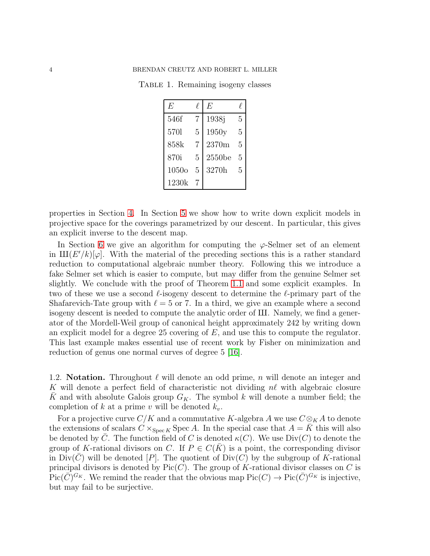TABLE 1. Remaining isogeny classes

<span id="page-3-0"></span>

| E            | ł. | F,        |   |
|--------------|----|-----------|---|
| 546f         | 7  | 1938j     | 5 |
| 5701         | 5  | 1950y     | 5 |
| 858k         | 7  | 2370m     | 5 |
| 870i         | 5  | $2550$ be | 5 |
| 1050 $\circ$ | 5  | 3270h     | 5 |
| 1230k        |    |           |   |

properties in Section [4.](#page-11-0) In Section [5](#page-19-0) we show how to write down explicit models in projective space for the coverings parametrized by our descent. In particular, this gives an explicit inverse to the descent map.

In Section [6](#page-22-0) we give an algorithm for computing the  $\varphi$ -Selmer set of an element in  $\text{III}(E'/k)[\varphi]$ . With the material of the preceding sections this is a rather standard reduction to computational algebraic number theory. Following this we introduce a fake Selmer set which is easier to compute, but may differ from the genuine Selmer set slightly. We conclude with the proof of Theorem [1.1](#page-1-0) and some explicit examples. In two of these we use a second  $\ell$ -isogeny descent to determine the  $\ell$ -primary part of the Shafarevich-Tate group with  $\ell = 5$  or 7. In a third, we give an example where a second isogeny descent is needed to compute the analytic order of III. Namely, we find a generator of the Mordell-Weil group of canonical height approximately 242 by writing down an explicit model for a degree 25 covering of  $E$ , and use this to compute the regulator. This last example makes essential use of recent work by Fisher on minimization and reduction of genus one normal curves of degree 5 [\[16\]](#page-32-19).

1.2. **Notation.** Throughout  $\ell$  will denote an odd prime, n will denote an integer and K will denote a perfect field of characteristic not dividing  $n\ell$  with algebraic closure K and with absolute Galois group  $G_K$ . The symbol k will denote a number field; the completion of k at a prime v will be denoted  $k_v$ .

For a projective curve  $C/K$  and a commutative K-algebra A we use  $C \otimes_K A$  to denote the extensions of scalars  $C \times_{\text{Spec } K} \text{Spec } A$ . In the special case that  $A = K$  this will also be denoted by  $\overline{C}$ . The function field of C is denoted  $\kappa(C)$ . We use Div(C) to denote the group of K-rational divisors on C. If  $P \in C(\overline{K})$  is a point, the corresponding divisor in  $Div(C)$  will be denoted |P|. The quotient of  $Div(C)$  by the subgroup of K-rational principal divisors is denoted by  $Pic(C)$ . The group of K-rational divisor classes on C is  $Pic(\overline{C})^{G_K}$ . We remind the reader that the obvious map  $Pic(C) \to Pic(\overline{C})^{G_K}$  is injective, but may fail to be surjective.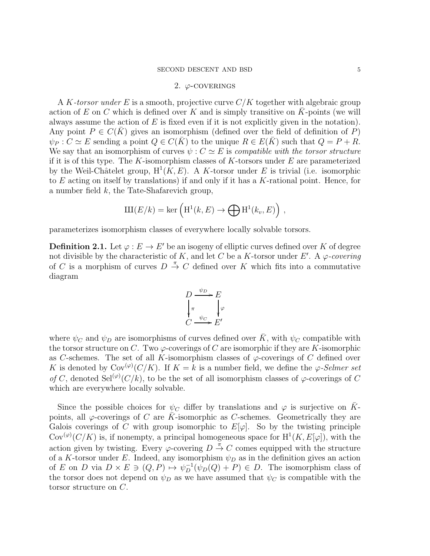# 2.  $\varphi$ -COVERINGS

<span id="page-4-0"></span>A K-torsor under E is a smooth, projective curve  $C/K$  together with algebraic group action of E on C which is defined over K and is simply transitive on  $\overline{K}$ -points (we will always assume the action of  $E$  is fixed even if it is not explicitly given in the notation). Any point  $P \in C(K)$  gives an isomorphism (defined over the field of definition of P)  $\psi_P : C \simeq E$  sending a point  $Q \in C(K)$  to the unique  $R \in E(K)$  such that  $Q = P + R$ . We say that an isomorphism of curves  $\psi : C \simeq E$  is *compatible with the torsor structure* if it is of this type. The K-isomorphism classes of K-torsors under  $E$  are parameterized by the Weil-Châtelet group,  $H^1(K, E)$ . A K-torsor under E is trivial (i.e. isomorphic to  $E$  acting on itself by translations) if and only if it has a  $K$ -rational point. Hence, for a number field k, the Tate-Shafarevich group,

$$
III(E/k) = \ker \left( H^1(k, E) \to \bigoplus H^1(k_v, E) \right) ,
$$

parameterizes isomorphism classes of everywhere locally solvable torsors.

**Definition 2.1.** Let  $\varphi : E \to E'$  be an isogeny of elliptic curves defined over K of degree not divisible by the characteristic of K, and let C be a K-torsor under E'. A  $\varphi$ -covering of C is a morphism of curves  $D \stackrel{\pi}{\rightarrow} C$  defined over K which fits into a commutative diagram

$$
D \xrightarrow{\psi_D} E
$$
  

$$
\downarrow_{\pi} \qquad \downarrow_{\varphi}
$$
  

$$
C \xrightarrow{\psi_C} E'
$$

where  $\psi_C$  and  $\psi_D$  are isomorphisms of curves defined over  $\bar{K}$ , with  $\psi_C$  compatible with the torsor structure on C. Two  $\varphi$ -coverings of C are isomorphic if they are K-isomorphic as C-schemes. The set of all K-isomorphism classes of  $\varphi$ -coverings of C defined over K is denoted by  $\text{Cov}^{(\varphi)}(C/K)$ . If  $K = k$  is a number field, we define the  $\varphi$ -Selmer set of C, denoted Sel<sup>( $\varphi$ </sup>)(C/k), to be the set of all isomorphism classes of  $\varphi$ -coverings of C which are everywhere locally solvable.

Since the possible choices for  $\psi_C$  differ by translations and  $\varphi$  is surjective on  $\bar{K}$ points, all  $\varphi$ -coverings of C are  $\bar{K}$ -isomorphic as C-schemes. Geometrically they are Galois coverings of C with group isomorphic to  $E[\varphi]$ . So by the twisting principle Cov<sup>( $\varphi$ </sup>)( $C/K$ ) is, if nonempty, a principal homogeneous space for  $H^1(K, E[\varphi])$ , with the action given by twisting. Every  $\varphi$ -covering  $D \stackrel{\pi}{\rightarrow} C$  comes equipped with the structure of a K-torsor under E. Indeed, any isomorphism  $\psi_D$  as in the definition gives an action of E on D via  $D \times E \ni (Q, P) \mapsto \psi_D^{-1}(\psi_D(Q) + P) \in D$ . The isomorphism class of the torsor does not depend on  $\psi_D$  as we have assumed that  $\psi_C$  is compatible with the torsor structure on C.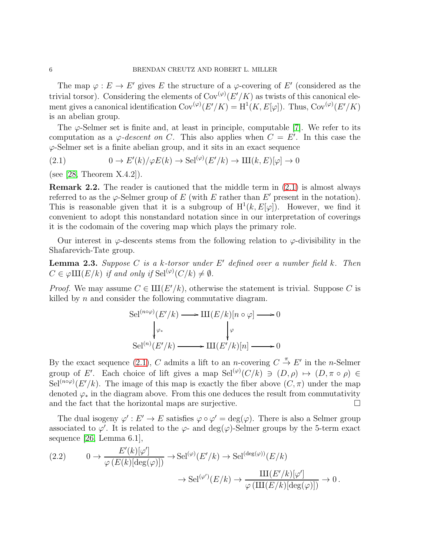The map  $\varphi : E \to E'$  gives E the structure of a  $\varphi$ -covering of E' (considered as the trivial torsor). Considering the elements of  $\text{Cov}^{(\varphi)}(E'/K)$  as twists of this canonical element gives a canonical identification  $Cov^{(\varphi)}(E'/K) = H^1(K, E[\varphi])$ . Thus,  $Cov^{(\varphi)}(E'/K)$ is an abelian group.

The  $\varphi$ -Selmer set is finite and, at least in principle, computable [\[7\]](#page-31-4). We refer to its computation as a  $\varphi$ -descent on C. This also applies when  $C = E'$ . In this case the  $\varphi$ -Selmer set is a finite abelian group, and it sits in an exact sequence

<span id="page-5-1"></span>(2.1) 
$$
0 \to E'(k)/\varphi E(k) \to \text{Sel}^{(\varphi)}(E'/k) \to \text{III}(k, E)[\varphi] \to 0
$$

(see [\[28,](#page-32-9) Theorem  $X.4.2$ ]).

Remark 2.2. The reader is cautioned that the middle term in [\(2.1\)](#page-5-1) is almost always referred to as the  $\varphi$ -Selmer group of E (with E rather than E' present in the notation). This is reasonable given that it is a subgroup of  $H^1(k, E[\varphi])$ . However, we find it convenient to adopt this nonstandard notation since in our interpretation of coverings it is the codomain of the covering map which plays the primary role.

Our interest in  $\varphi$ -descents stems from the following relation to  $\varphi$ -divisibility in the Shafarevich-Tate group.

<span id="page-5-2"></span>**Lemma 2.3.** Suppose C is a k-torsor under  $E'$  defined over a number field k. Then  $C \in \varphi \amalg (E/k)$  if and only if  $\operatorname{Sel}^{(\varphi)}(C/k) \neq \emptyset$ .

*Proof.* We may assume  $C \in \mathrm{III}(E'/k)$ , otherwise the statement is trivial. Suppose C is killed by n and consider the following commutative diagram.

$$
\text{Sel}^{(n \circ \varphi)}(E'/k) \longrightarrow \text{III}(E/k)[n \circ \varphi] \longrightarrow 0
$$
  
\n
$$
\downarrow_{\varphi_*}
$$
  
\n
$$
\text{Sel}^{(n)}(E'/k) \longrightarrow \text{III}(E'/k)[n] \longrightarrow 0
$$

By the exact sequence [\(2.1\)](#page-5-1), C admits a lift to an *n*-covering  $C \stackrel{\pi}{\to} E'$  in the *n*-Selmer group of E'. Each choice of lift gives a map  $\text{Sel}^{(\varphi)}(C/k) \ni (D, \rho) \mapsto (D, \pi \circ \rho) \in$ Sel<sup>(no $\varphi$ </sup>)(E'/k). The image of this map is exactly the fiber above  $(C, \pi)$  under the map denoted  $\varphi_*$  in the diagram above. From this one deduces the result from commutativity and the fact that the horizontal maps are surjective.  $\Box$ 

The dual isogeny  $\varphi': E' \to E$  satisfies  $\varphi \circ \varphi' = \deg(\varphi)$ . There is also a Selmer group associated to  $\varphi'$ . It is related to the  $\varphi$ - and  $\deg(\varphi)$ -Selmer groups by the 5-term exact sequence [\[26,](#page-32-3) Lemma 6.1],

<span id="page-5-0"></span>
$$
(2.2) \qquad 0 \to \frac{E'(k)[\varphi']}{{\varphi(E(k)[\deg(\varphi)])}} \to \mathrm{Sel}^{(\varphi)}(E/k) \to \mathrm{Sel}^{(\deg(\varphi))}(E/k) \to \mathrm{Sel}^{(\varphi')}(E/k) \to \frac{\mathrm{III}(E'/k)[\varphi']}{{\varphi(\mathrm{III}(E/k)[\deg(\varphi)])}} \to 0.
$$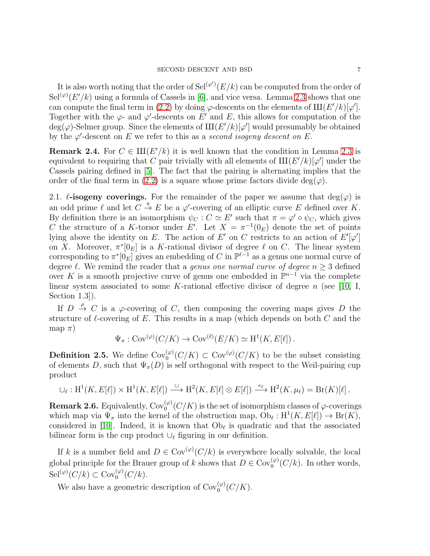It is also worth noting that the order of  $\text{Sel}^{(\varphi')}(E/k)$  can be computed from the order of  $\text{Sel}^{(\varphi)}(E'/k)$  using a formula of Cassels in [\[6\]](#page-31-5), and vice versa. Lemma [2.3](#page-5-2) shows that one can compute the final term in [\(2.2\)](#page-5-0) by doing  $\varphi$ -descents on the elements of  $III(E'/k)[\varphi']$ . Together with the  $\varphi$ - and  $\varphi'$ -descents on E' and E, this allows for computation of the  $deg(\varphi)$ -Selmer group. Since the elements of  $\mathrm{III}(E'/k)[\varphi']$  would presumably be obtained by the  $\varphi'$ -descent on E we refer to this as a second isogeny descent on E.

<span id="page-6-0"></span>**Remark 2.4.** For  $C \in \mathrm{III}(E'/k)$  it is well known that the condition in Lemma [2.3](#page-5-2) is equivalent to requiring that C pair trivially with all elements of  $\text{III}(E'/k)[\varphi']$  under the Cassels pairing defined in [\[5\]](#page-31-3). The fact that the pairing is alternating implies that the order of the final term in [\(2.2\)](#page-5-0) is a square whose prime factors divide deg( $\varphi$ ).

2.1.  $\ell$ -isogeny coverings. For the remainder of the paper we assume that  $deg(\varphi)$  is an odd prime  $\ell$  and let  $C \stackrel{\pi}{\to} E$  be a  $\varphi'$ -covering of an elliptic curve E defined over K. By definition there is an isomorphism  $\psi_C : C \simeq E'$  such that  $\pi = \varphi' \circ \psi_C$ , which gives C the structure of a K-torsor under E'. Let  $X = \pi^{-1}(0_E)$  denote the set of points lying above the identity on E. The action of E' on C restricts to an action of  $E'[\varphi']$ on X. Moreover,  $\pi^*[0_E]$  is a K-rational divisor of degree  $\ell$  on C. The linear system corresponding to  $\pi^*[0_E]$  gives an embedding of C in  $\mathbb{P}^{\ell-1}$  as a genus one normal curve of degree  $\ell$ . We remind the reader that a *genus one normal curve of degree*  $n > 3$  defined over K is a smooth projective curve of genus one embedded in  $\mathbb{P}^{n-1}$  via the complete linear system associated to some K-rational effective divisor of degree  $n$  (see [\[10,](#page-32-20) I, Section 1.3]).

If  $D \stackrel{\rho}{\to} C$  is a  $\varphi$ -covering of C, then composing the covering maps gives D the structure of  $\ell$ -covering of E. This results in a map (which depends on both C and the map  $\pi$ )

$$
\Psi_{\pi}: \text{Cov}^{(\varphi)}(C/K) \to \text{Cov}^{(\ell)}(E/K) \simeq \text{H}^1(K, E[\ell]).
$$

**Definition 2.5.** We define  $Cov_0^{(\varphi)}(C/K) \subset Cov^{(\varphi)}(C/K)$  to be the subset consisting of elements D, such that  $\Psi_{\pi}(D)$  is self orthogonal with respect to the Weil-pairing cup product

$$
\bigcup_{\ell}: \mathrm{H}^1(K, E[\ell]) \times \mathrm{H}^1(K, E[\ell]) \xrightarrow{\cup} \mathrm{H}^2(K, E[\ell] \otimes E[\ell]) \xrightarrow{e_{\ell}} \mathrm{H}^2(K, \mu_{\ell}) = \mathrm{Br}(K)[\ell].
$$

**Remark 2.6.** Equivalently,  $\text{Cov}_0^{(\varphi)}(C/K)$  is the set of isomorphism classes of  $\varphi$ -coverings which map via  $\Psi_{\pi}$  into the kernel of the obstruction map,  $Ob_{\ell}: H^1(K, E[\ell]) \to Br(K)$ , considered in [\[10\]](#page-32-20). Indeed, it is known that  $Ob_{\ell}$  is quadratic and that the associated bilinear form is the cup product  $\cup_{\ell}$  figuring in our definition.

If k is a number field and  $D \in \text{Cov}^{(\varphi)}(C/k)$  is everywhere locally solvable, the local global principle for the Brauer group of k shows that  $D \in \text{Cov}_0^{(\varphi)}(C/k)$ . In other words,  $\operatorname{Sel}^{(\varphi)}(C/k) \subset \operatorname{Cov}^{(\varphi)}_0(C/k).$ 

We also have a geometric description of  $Cov_0^{(\varphi)}(C/K)$ .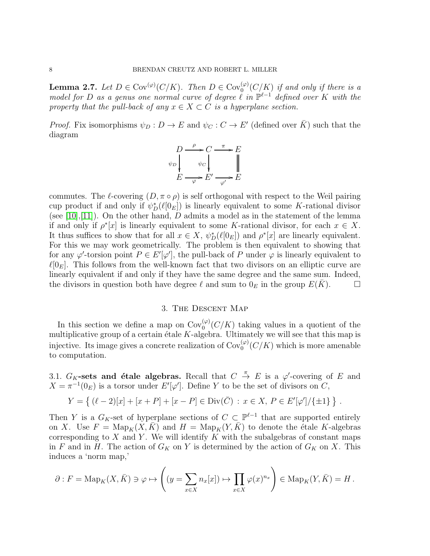<span id="page-7-1"></span>**Lemma 2.7.** Let  $D \in \text{Cov}^{(\varphi)}(C/K)$ . Then  $D \in \text{Cov}^{(\varphi)}_0(C/K)$  if and only if there is a model for D as a genus one normal curve of degree  $\ell$  in  $\mathbb{P}^{\ell-1}$  defined over K with the property that the pull-back of any  $x \in X \subset C$  is a hyperplane section.

*Proof.* Fix isomorphisms  $\psi_D : D \to E$  and  $\psi_C : C \to E'$  (defined over  $\overline{K}$ ) such that the diagram

$$
D \xrightarrow{\rho} C \xrightarrow{\pi} E
$$
  
\n
$$
\psi_D \downarrow \qquad \psi_C \downarrow \qquad \qquad \parallel
$$
  
\n
$$
E \xrightarrow{\varphi} E' \xrightarrow{\varphi'} E
$$

commutes. The  $\ell$ -covering  $(D, \pi \circ \rho)$  is self orthogonal with respect to the Weil pairing cup product if and only if  $\psi_D^*(\ell[0_E])$  is linearly equivalent to some K-rational divisor (see [\[10\]](#page-32-20), [\[11\]](#page-32-13)). On the other hand,  $D$  admits a model as in the statement of the lemma if and only if  $\rho^*[x]$  is linearly equivalent to some K-rational divisor, for each  $x \in X$ . It thus suffices to show that for all  $x \in X$ ,  $\psi_D^*(\ell[0_E])$  and  $\rho^*[x]$  are linearly equivalent. For this we may work geometrically. The problem is then equivalent to showing that for any  $\varphi'$ -torsion point  $P \in E'[\varphi']$ , the pull-back of P under  $\varphi$  is linearly equivalent to  $\ell[0_E]$ . This follows from the well-known fact that two divisors on an elliptic curve are linearly equivalent if and only if they have the same degree and the same sum. Indeed, the divisors in question both have degree  $\ell$  and sum to  $0_E$  in the group  $E(K)$ .

# 3. The Descent Map

<span id="page-7-0"></span>In this section we define a map on  $Cov_0^{(\varphi)}(C/K)$  taking values in a quotient of the multiplicative group of a certain étale  $K$ -algebra. Ultimately we will see that this map is injective. Its image gives a concrete realization of  $Cov_0^{(\varphi)}(C/K)$  which is more amenable to computation.

3.1.  $G_K$ -sets and étale algebras. Recall that  $C \stackrel{\pi}{\rightarrow} E$  is a  $\varphi'$ -covering of E and  $X = \pi^{-1}(0_E)$  is a torsor under  $E'[\varphi']$ . Define Y to be the set of divisors on C,

$$
Y = \{ (\ell - 2)[x] + [x + P] + [x - P] \in \text{Div}(\overline{C}) : x \in X, P \in E'[\varphi']/\{\pm 1\} \}.
$$

Then Y is a  $G_K$ -set of hyperplane sections of  $C \subset \mathbb{P}^{\ell-1}$  that are supported entirely on X. Use  $F = \text{Map}_K(X, \bar{K})$  and  $H = \text{Map}_K(Y, \bar{K})$  to denote the étale K-algebras corresponding to  $X$  and  $Y$ . We will identify  $K$  with the subalgebras of constant maps in F and in H. The action of  $G_K$  on Y is determined by the action of  $G_K$  on X. This induces a 'norm map,'

$$
\partial : F = \mathrm{Map}_K(X, \bar{K}) \ni \varphi \mapsto \left( (y = \sum_{x \in X} n_x[x]) \mapsto \prod_{x \in X} \varphi(x)^{n_x} \right) \in \mathrm{Map}_K(Y, \bar{K}) = H.
$$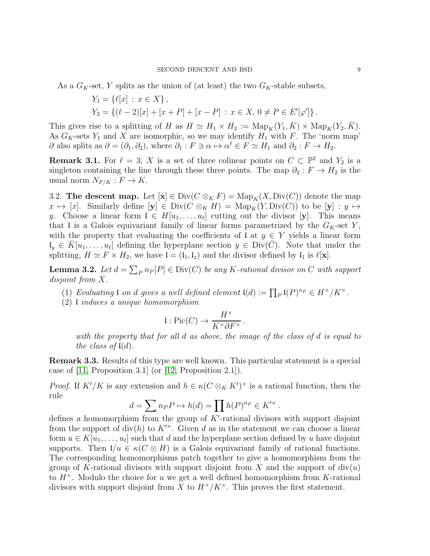As a  $G_K$ -set, Y splits as the union of (at least) the two  $G_K$ -stable subsets,

$$
Y_1 = \{ \ell[x] : x \in X \},
$$
  
\n
$$
Y_2 = \{ (\ell - 2)[x] + [x + P] + [x - P] : x \in X, 0 \neq P \in E'[\varphi'] \}.
$$

This gives rise to a splitting of H as  $H \simeq H_1 \times H_2 := \text{Map}_K(Y_1, \bar{K}) \times \text{Map}_K(Y_2, \bar{K}).$ As  $G_K$ -sets  $Y_1$  and X are isomorphic, so we may identify  $H_1$  with F. The 'norm map'  $\partial$  also splits as  $\partial = (\partial_1, \partial_2)$ , where  $\partial_1 : F \ni \alpha \mapsto \alpha^{\ell} \in F \simeq H_1$  and  $\partial_2 : F \to H_2$ .

**Remark 3.1.** For  $\ell = 3$ , X is a set of three colinear points on  $C \subset \mathbb{P}^2$  and  $Y_2$  is a singleton containing the line through these three points. The map  $\partial_2 : F \to H_2$  is the usual norm  $N_{F/K}: F \to K$ .

3.2. The descent map. Let  $[\mathbf{x}] \in \text{Div}(C \otimes_K F) = \text{Map}_K(X, \text{Div}(C))$  denote the map  $x \mapsto [x]$ . Similarly define  $[y] \in Div(C \otimes_K H) = Map_K(Y, Div(C))$  to be  $[y] : y \mapsto$ y. Choose a linear form  $\mathfrak{l} \in H[u_1,\ldots,u_\ell]$  cutting out the divisor [y]. This means that I is a Galois equivariant family of linear forms parametrized by the  $G_K$ -set Y, with the property that evaluating the coefficients of  $\mathfrak{l}$  at  $y \in Y$  yields a linear form  $\mathfrak{l}_y \in \overline{K}[u_1,\ldots,u_\ell]$  defining the hyperplane section  $y \in \text{Div}(\overline{C})$ . Note that under the splitting,  $H \simeq F \times H_2$ , we have  $\mathfrak{l} = (\mathfrak{l}_1, \mathfrak{l}_2)$  and the divisor defined by  $\mathfrak{l}_1$  is  $\ell[\mathbf{x}]$ .

**Lemma 3.2.** Let  $d = \sum_{P} n_P[P] \in Div(C)$  be any K-rational divisor on C with support disjoint from X.

- (1) Evaluating  $\mathfrak l$  on  $d$  gives a well defined element  $\mathfrak l(d):=\prod_P \mathfrak l(P)^{n_P}\in H^\times/K^\times$ .
- (2) l induces a unique homomorphism

$$
\mathfrak{l}: \mathrm{Pic}(C) \to \frac{H^\times}{K^\times \partial F^\times}.
$$

with the property that for all d as above, the image of the class of d is equal to the class of  $\mathfrak{l}(d)$ .

Remark 3.3. Results of this type are well known. This particular statement is a special case of [\[11,](#page-32-13) Proposition 3.1] (or [\[12,](#page-32-14) Proposition 2.1]).

*Proof.* If  $K'/K$  is any extension and  $h \in \kappa(C \otimes_K K')^{\times}$  is a rational function, then the rule

$$
d = \sum_{r} n_P P \mapsto h(d) = \prod_{r} h(P)^{n_P} \in K'^{\times}.
$$

defines a homomorphism from the group of K'-rational divisors with support disjoint from the support of div(h) to  $K^{\prime\prime}$ . Given d as in the statement we can choose a linear form  $u \in K[u_1, \ldots, u_\ell]$  such that d and the hyperplane section defined by u have disjoint supports. Then  $\mathfrak{l}/u \in \kappa(C \otimes H)$  is a Galois equivariant family of rational functions. The corresponding homomorphisms patch together to give a homomorphism from the group of K-rational divisors with support disjoint from X and the support of  $div(u)$ to  $H^{\times}$ . Modulo the choice for u we get a well defined homomorphism from K-rational divisors with support disjoint from X to  $H^{\times}/K^{\times}$ . This proves the first statement.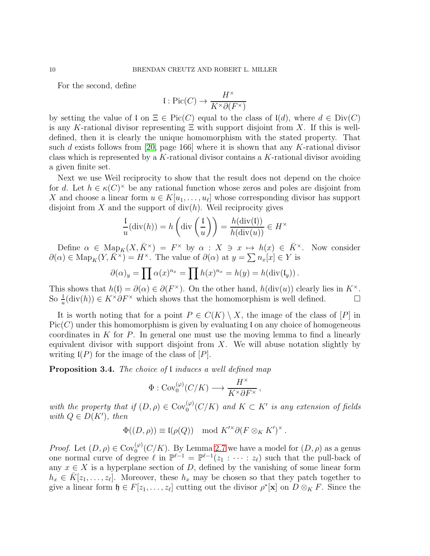For the second, define

$$
\mathfrak{l}: \mathrm{Pic}(C) \to \frac{H^{\times}}{K^{\times} \partial (F^{\times})}
$$

by setting the value of  $\mathfrak l$  on  $\Xi \in \text{Pic}(C)$  equal to the class of  $\mathfrak l(d)$ , where  $d \in \text{Div}(C)$ is any K-rational divisor representing  $\Xi$  with support disjoint from X. If this is welldefined, then it is clearly the unique homomorphism with the stated property. That such d exists follows from [\[20,](#page-32-21) page 166] where it is shown that any K-rational divisor class which is represented by a  $K$ -rational divisor contains a  $K$ -rational divisor avoiding a given finite set.

Next we use Weil reciprocity to show that the result does not depend on the choice for d. Let  $h \in \kappa(C)^{\times}$  be any rational function whose zeros and poles are disjoint from X and choose a linear form  $u \in K[u_1, \ldots, u_\ell]$  whose corresponding divisor has support disjoint from  $X$  and the support of  $div(h)$ . Weil reciprocity gives

$$
\frac{1}{u}(\text{div}(h)) = h\left(\text{div}\left(\frac{1}{u}\right)\right) = \frac{h(\text{div}(I))}{h(\text{div}(u))} \in H^{\times}
$$

Define  $\alpha \in \text{Map}_K(X, \bar{K}^{\times}) = F^{\times}$  by  $\alpha : X \ni x \mapsto h(x) \in \bar{K}^{\times}$ . Now consider  $\partial(\alpha) \in \text{Map}_K(Y, \overline{K}^{\times}) = H^{\times}$ . The value of  $\partial(\alpha)$  at  $y = \sum n_x[x] \in Y$  is

$$
\partial(\alpha)_y = \prod \alpha(x)^{n_x} = \prod h(x)^{n_x} = h(y) = h(\text{div}(\mathfrak{l}_y)).
$$

This shows that  $h(\mathfrak{l}) = \partial(\alpha) \in \partial(F^{\times})$ . On the other hand,  $h(\text{div}(u))$  clearly lies in  $K^{\times}$ . So  $\frac{1}{u}(\text{div}(h)) \in K^{\times} \partial F^{\times}$  which shows that the homomorphism is well defined.  $\Box$ 

It is worth noting that for a point  $P \in C(K) \setminus X$ , the image of the class of  $|P|$  in  $Pic(C)$  under this homomorphism is given by evaluating l on any choice of homogeneous coordinates in  $K$  for  $P$ . In general one must use the moving lemma to find a linearly equivalent divisor with support disjoint from  $X$ . We will abuse notation slightly by writing  $I(P)$  for the image of the class of  $[P]$ .

<span id="page-9-0"></span>**Proposition 3.4.** The choice of I induces a well defined map

$$
\Phi:\mathrm{Cov}_0^{(\varphi)}(C/K)\longrightarrow \frac{H^\times}{K^\times \partial F^\times}
$$

,

with the property that if  $(D, \rho) \in \text{Cov}_0^{(\varphi)}(C/K)$  and  $K \subset K'$  is any extension of fields with  $Q \in D(K')$ , then

$$
\Phi((D,\rho)) \equiv \mathfrak{l}(\rho(Q)) \mod K'^{\times} \partial (F \otimes_K K')^{\times}.
$$

*Proof.* Let  $(D, \rho) \in \text{Cov}_{0}^{(\varphi)}(C/K)$ . By Lemma [2.7](#page-7-1) we have a model for  $(D, \rho)$  as a genus one normal curve of degree  $\ell$  in  $\mathbb{P}^{\ell-1} = \mathbb{P}^{\ell-1}(z_1 : \cdots : z_{\ell})$  such that the pull-back of any  $x \in X$  is a hyperplane section of D, defined by the vanishing of some linear form  $h_x \in \overline{K}[z_1,\ldots,z_\ell]$ . Moreover, these  $h_x$  may be chosen so that they patch together to give a linear form  $\mathfrak{h} \in F[z_1,\ldots,z_\ell]$  cutting out the divisor  $\rho^*[\mathbf{x}]$  on  $D \otimes_K F$ . Since the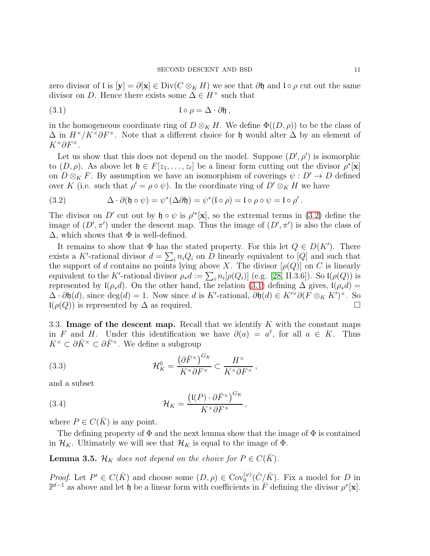zero divisor of l is  $[y] = \partial [x] \in Div(C \otimes_K H)$  we see that  $\partial \mathfrak{h}$  and l ∘  $\rho$  cut out the same divisor on D. Hence there exists some  $\Delta \in H^{\times}$  such that

<span id="page-10-1"></span>(3.1) 
$$
\qquad \qquad \mathfrak{l} \circ \rho = \Delta \cdot \partial \mathfrak{h} \, ,
$$

in the homogeneous coordinate ring of  $D \otimes_K H$ . We define  $\Phi((D, \rho))$  to be the class of  $\Delta$  in  $H^{\times}/K^{\times}\partial F^{\times}$ . Note that a different choice for h would alter  $\Delta$  by an element of  $K^{\times}\partial F^{\times}$ .

Let us show that this does not depend on the model. Suppose  $(D', \rho')$  is isomorphic to  $(D, \rho)$ . As above let  $\mathfrak{h} \in F[z_1, \ldots, z_\ell]$  be a linear form cutting out the divisor  $\rho^*[\mathbf{x}]$ on  $D \otimes_K F$ . By assumption we have an isomorphism of coverings  $\psi : D' \to D$  defined over K (i.e. such that  $\rho' = \rho \circ \psi$ ). In the coordinate ring of  $D' \otimes_K H$  we have

<span id="page-10-0"></span>(3.2) 
$$
\Delta \cdot \partial (\mathfrak{h} \circ \psi) = \psi^*(\Delta \partial \mathfrak{h}) = \psi^*(\mathfrak{l} \circ \rho) = \mathfrak{l} \circ \rho \circ \psi = \mathfrak{l} \circ \rho'.
$$

The divisor on D' cut out by  $\mathfrak{h} \circ \psi$  is  $\rho'^*[\mathbf{x}]$ , so the extremal terms in [\(3.2\)](#page-10-0) define the image of  $(D', \pi')$  under the descent map. Thus the image of  $(D', \pi')$  is also the class of  $\Delta$ , which shows that  $\Phi$  is well-defined.

It remains to show that  $\Phi$  has the stated property. For this let  $Q \in D(K')$ . There exists a K'-rational divisor  $d = \sum_i n_i Q_i$  on D linearly equivalent to  $[Q]$  and such that the support of d contains no points lying above X. The divisor  $[\rho(Q)]$  on C is linearly equivalent to the K'-rational divisor  $\rho_* d := \sum_i n_i [\rho(Q_i)]$  (e.g. [\[28,](#page-32-9) II.3.6]). So  $\mathfrak{l}(\rho(Q))$  is represented by  $\mathfrak{l}(\rho_* d)$ . On the other hand, the relation [\(3.1\)](#page-10-1) defining  $\Delta$  gives,  $\mathfrak{l}(\rho_* d)$  =  $\Delta \cdot \partial \mathfrak{h}(d)$ , since  $\deg(d) = 1$ . Now since d is K'-rational,  $\partial \mathfrak{h}(d) \in K^{\prime \times} \partial (F \otimes_K K^{\prime})^{\times}$ . So  $\mathfrak{l}(\rho(Q))$  is represented by  $\Delta$  as required.

3.3. Image of the descent map. Recall that we identify  $K$  with the constant maps in F and H. Under this identification we have  $\partial(a) = a^{\ell}$ , for all  $a \in K$ . Thus  $K^{\times} \subset \partial \bar{K}^{\times} \subset \partial \bar{F}^{\times}$ . We define a subgroup

<span id="page-10-2"></span>(3.3) 
$$
\mathcal{H}_K^0 = \frac{\left(\partial \bar{F}^\times\right)^{G_K}}{K^\times \partial F^\times} \subset \frac{H^\times}{K^\times \partial F^\times},
$$

and a subset

<span id="page-10-3"></span>(3.4) 
$$
\mathcal{H}_K = \frac{\left(\mathfrak{l}(P) \cdot \partial \bar{F}^{\times}\right)^{G_K}}{K^{\times} \partial F^{\times}},
$$

where  $P \in C(\overline{K})$  is any point.

The defining property of  $\Phi$  and the next lemma show that the image of  $\Phi$  is contained in  $\mathcal{H}_K$ . Ultimately we will see that  $\mathcal{H}_K$  is equal to the image of  $\Phi$ .

**Lemma 3.5.**  $\mathcal{H}_K$  does not depend on the choice for  $P \in C(\overline{K})$ .

*Proof.* Let  $P' \in C(\bar{K})$  and choose some  $(D, \rho) \in \text{Cov}_{0}^{(\varphi)}(\bar{C}/\bar{K})$ . Fix a model for D in  $\mathbb{P}^{\ell-1}$  as above and let  $\mathfrak{h}$  be a linear form with coefficients in  $\overline{F}$  defining the divisor  $\rho^*[\mathbf{x}]$ .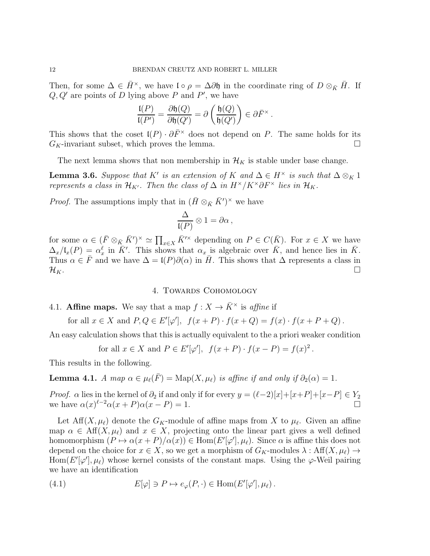Then, for some  $\Delta \in \bar{H}^{\times}$ , we have  $\mathfrak{l} \circ \rho = \Delta \partial \mathfrak{h}$  in the coordinate ring of  $D \otimes_{\bar{K}} \bar{H}$ . If  $Q, Q'$  are points of D lying above P and P', we have

$$
\frac{\mathfrak{l}(P)}{\mathfrak{l}(P')} = \frac{\partial \mathfrak{h}(Q)}{\partial \mathfrak{h}(Q')} = \partial \left( \frac{\mathfrak{h}(Q)}{\mathfrak{h}(Q')} \right) \in \partial \bar{F}^{\times}.
$$

This shows that the coset  $\mathfrak{l}(P) \cdot \partial \bar{F}^{\times}$  does not depend on P. The same holds for its  $G_K$ -invariant subset, which proves the lemma.

The next lemma shows that non membership in  $\mathcal{H}_K$  is stable under base change.

<span id="page-11-2"></span>**Lemma 3.6.** Suppose that K' is an extension of K and  $\Delta \in H^{\times}$  is such that  $\Delta \otimes_K 1$ represents a class in  $\mathcal{H}_{K'}$ . Then the class of  $\Delta$  in  $H^{\times}/K^{\times}\partial F^{\times}$  lies in  $\mathcal{H}_{K}$ .

*Proof.* The assumptions imply that in  $(\bar{H} \otimes_{\bar{K}} \bar{K}')^{\times}$  we have

$$
\frac{\Delta}{\mathfrak{l}(P)} \otimes 1 = \partial \alpha \,,
$$

for some  $\alpha \in (\bar{F} \otimes_{\bar{K}} \bar{K}')^{\times} \simeq \prod_{x \in X} \bar{K}'^{\times}$  depending on  $P \in C(\bar{K})$ . For  $x \in X$  we have  $\Delta_x/\mathfrak{l}_x(P) = \alpha_x^{\ell}$  in  $\bar{K}'$ . This shows that  $\alpha_x$  is algebraic over  $\bar{K}$ , and hence lies in  $\bar{K}$ . Thus  $\alpha \in \overline{F}$  and we have  $\Delta = I(P)\partial(\alpha)$  in  $\overline{H}$ . This shows that  $\Delta$  represents a class in  $\mathcal{H}_K$ .

4. Towards Cohomology

<span id="page-11-0"></span>4.1. Affine maps. We say that a map 
$$
f: X \to \overline{K}^{\times}
$$
 is *affine* if

for all  $x \in X$  and  $P, Q \in E'[\varphi'], f(x+P) \cdot f(x+Q) = f(x) \cdot f(x+P+Q)$ .

An easy calculation shows that this is actually equivalent to the a priori weaker condition

for all 
$$
x \in X
$$
 and  $P \in E'[\varphi'], f(x+P) \cdot f(x-P) = f(x)^2$ .

This results in the following.

<span id="page-11-1"></span>**Lemma 4.1.** A map  $\alpha \in \mu_{\ell}(\overline{F}) = \text{Map}(X, \mu_{\ell})$  is affine if and only if  $\partial_2(\alpha) = 1$ .

*Proof.*  $\alpha$  lies in the kernel of  $\partial_2$  if and only if for every  $y = (\ell-2)[x]+[x+P]+[x-P] \in Y_2$ we have  $\alpha(x)^{\ell-2}\alpha(x+P)\alpha(x-P) = 1.$ 

Let  $\text{Aff}(X,\mu_\ell)$  denote the  $G_K$ -module of affine maps from X to  $\mu_\ell$ . Given an affine map  $\alpha \in \text{Aff}(X,\mu_\ell)$  and  $x \in X$ , projecting onto the linear part gives a well defined homomorphism  $(P \mapsto \alpha(x + P)/\alpha(x)) \in \text{Hom}(E'[\varphi'], \mu_{\ell})$ . Since  $\alpha$  is affine this does not depend on the choice for  $x \in X$ , so we get a morphism of  $G_K$ -modules  $\lambda : Aff(X, \mu_\ell) \to$ Hom $(E'[\varphi'], \mu_\ell)$  whose kernel consists of the constant maps. Using the  $\varphi$ -Weil pairing we have an identification

(4.1) 
$$
E[\varphi] \ni P \mapsto e_{\varphi}(P, \cdot) \in \text{Hom}(E'[\varphi'], \mu_{\ell}).
$$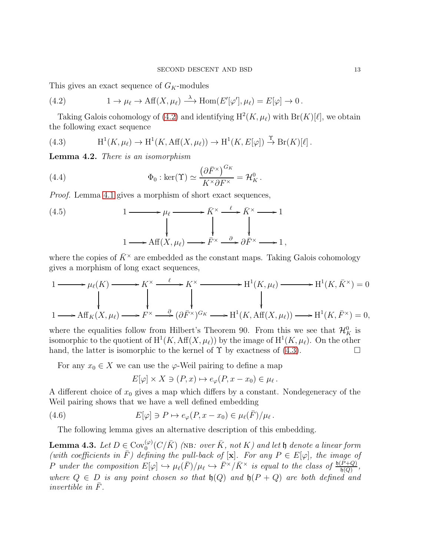This gives an exact sequence of  $G_K$ -modules

<span id="page-12-0"></span>(4.2) 
$$
1 \to \mu_{\ell} \to \text{Aff}(X, \mu_{\ell}) \stackrel{\lambda}{\longrightarrow} \text{Hom}(E'[\varphi'], \mu_{\ell}) = E[\varphi] \to 0.
$$

Taking Galois cohomology of [\(4.2\)](#page-12-0) and identifying  $H^2(K, \mu_\ell)$  with  $Br(K)[\ell]$ , we obtain the following exact sequence

<span id="page-12-1"></span>(4.3) 
$$
\mathrm{H}^1(K,\mu_\ell) \to \mathrm{H}^1(K,\mathrm{Aff}(X,\mu_\ell)) \to \mathrm{H}^1(K,E[\varphi]) \stackrel{\Upsilon}{\to} \mathrm{Br}(K)[\ell].
$$

<span id="page-12-3"></span>Lemma 4.2. There is an isomorphism

<span id="page-12-4"></span>(4.4) 
$$
\Phi_0 : \ker(\Upsilon) \simeq \frac{\left(\partial \bar{F}^\times\right)^{G_K}}{K^\times \partial F^\times} = \mathcal{H}_K^0.
$$

Proof. Lemma [4.1](#page-11-1) gives a morphism of short exact sequences,

(4.5) 
$$
1 \longrightarrow \mu_{\ell} \longrightarrow \overline{K}^{\times} \longrightarrow \overline{K}^{\times} \longrightarrow 1
$$

$$
\downarrow \qquad \qquad \downarrow \qquad \qquad \downarrow
$$

$$
1 \longrightarrow \text{Aff}(X, \mu_{\ell}) \longrightarrow \overline{F}^{\times} \longrightarrow \partial \overline{F}^{\times} \longrightarrow 1,
$$

where the copies of  $\bar{K}^{\times}$  are embedded as the constant maps. Taking Galois cohomology gives a morphism of long exact sequences,

$$
1 \longrightarrow \mu_{\ell}(K) \longrightarrow K^{\times} \xrightarrow{\ell} K^{\times} \longrightarrow H^{1}(K, \mu_{\ell}) \longrightarrow H^{1}(K, \bar{K}^{\times}) = 0
$$
  
\n
$$
1 \longrightarrow \text{Aff}_{K}(X, \mu_{\ell}) \longrightarrow F^{\times} \xrightarrow{\partial} (\partial \bar{F}^{\times})^{G_{K}} \longrightarrow H^{1}(K, \text{Aff}(X, \mu_{\ell})) \longrightarrow H^{1}(K, \bar{F}^{\times}) = 0,
$$

where the equalities follow from Hilbert's Theorem 90. From this we see that  $\mathcal{H}_K^0$  is isomorphic to the quotient of  $\mathrm{H}^1(K,\mathrm{Aff}(X,\mu_\ell))$  by the image of  $\mathrm{H}^1(K,\mu_\ell)$ . On the other hand, the latter is isomorphic to the kernel of  $\Upsilon$  by exactness of [\(4.3\)](#page-12-1).

For any  $x_0 \in X$  we can use the  $\varphi$ -Weil pairing to define a map

$$
E[\varphi] \times X \ni (P, x) \mapsto e_{\varphi}(P, x - x_0) \in \mu_{\ell}.
$$

A different choice of  $x_0$  gives a map which differs by a constant. Nondegeneracy of the Weil pairing shows that we have a well defined embedding

<span id="page-12-2"></span>(4.6) 
$$
E[\varphi] \ni P \mapsto e_{\varphi}(P, x - x_0) \in \mu_{\ell}(\bar{F})/\mu_{\ell}.
$$

The following lemma gives an alternative description of this embedding.

<span id="page-12-5"></span>**Lemma 4.3.** Let  $D \in \text{Cov}_{0}^{(\varphi)}(C/\bar{K})$  (NB: over  $\bar{K}$ , not K) and let b denote a linear form **Definite 4.5.** Let  $D \in \text{Cov}_0$  ( $C/K$ ) (NB. over K, not K) and let  $\theta$  denote a threat form<br>(with coefficients in  $\overline{F}$ ) defining the pull-back of  $[\mathbf{x}]$ . For any  $P \in E[\varphi]$ , the image of P under the composition  $E[\varphi] \hookrightarrow \mu_{\ell}(\bar{F})/\mu_{\ell} \hookrightarrow \bar{F}^{\times}/\bar{K}^{\times}$  is equal to the class of  $\frac{\mathfrak{h}(P+Q)}{\mathfrak{h}(Q)}$ , where  $Q \in D$  is any point chosen so that  $\mathfrak{h}(Q)$  and  $\mathfrak{h}(P+Q)$  are both defined and invertible in  $\bar{F}$ .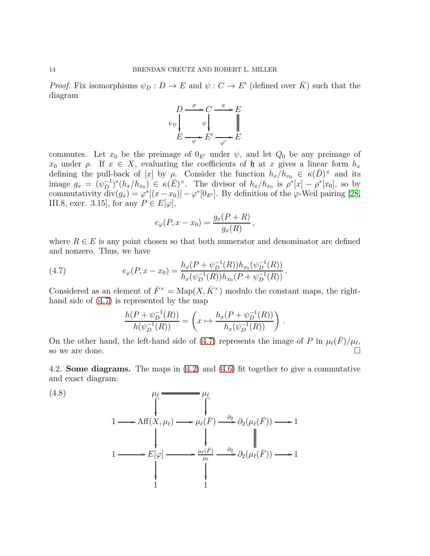*Proof.* Fix isomorphisms  $\psi_D : D \to E$  and  $\psi : C \to E'$  (defined over  $\overline{K}$ ) such that the diagram



commutes. Let  $x_0$  be the preimage of  $0_{E'}$  under  $\psi$ , and let  $Q_0$  be any preimage of  $x_0$  under  $\rho$ . If  $x \in X$ , evaluating the coefficients of  $\mathfrak h$  at x gives a linear form  $h_x$ defining the pull-back of [x] by  $\rho$ . Consider the function  $h_x/h_{x_0} \in \kappa(\bar{D})^{\times}$  and its image  $g_x = (\psi_D^{-1})^* (h_x/h_{x_0}) \in \kappa(\bar{E})^\times$ . The divisor of  $h_x/h_{x_0}$  is  $\rho^* [x] - \rho^* [x_0]$ , so by commutativity  $\text{div}(g_x) = \varphi^*[(x - x_0)] - \varphi^*[\theta_{E'}].$  By definition of the  $\varphi$ -Weil pairing [\[28,](#page-32-9) III.8, exer. 3.15], for any  $P \in E[\varphi]$ ,

$$
e_{\varphi}(P, x - x_0) = \frac{g_x(P + R)}{g_x(R)},
$$

where  $R \in E$  is any point chosen so that both numerator and denominator are defined and nonzero. Thus, we have

<span id="page-13-0"></span>(4.7) 
$$
e_{\varphi}(P, x - x_0) = \frac{h_x(P + \psi_D^{-1}(R))h_{x_0}(\psi_D^{-1}(R))}{h_x(\psi_D^{-1}(R))h_{x_0}(P + \psi_D^{-1}(R))}.
$$

Considered as an element of  $\bar{F}^{\times} = \text{Map}(X, \bar{K}^{\times})$  modulo the constant maps, the righthand side of [\(4.7\)](#page-13-0) is represented by the map

$$
\frac{h(P + \psi_D^{-1}(R))}{h(\psi_D^{-1}(R))} = \left(x \mapsto \frac{h_x(P + \psi_D^{-1}(R))}{h_x(\psi_D^{-1}(R))}\right).
$$

On the other hand, the left-hand side of [\(4.7\)](#page-13-0) represents the image of P in  $\mu_{\ell}(\bar{F})/\mu_{\ell}$ , so we are done.

4.2. Some diagrams. The maps in [\(4.2\)](#page-12-0) and [\(4.6\)](#page-12-2) fit together to give a commutative and exact diagram:

<span id="page-13-1"></span>(4.8)  
\n
$$
\mu_{\ell} \longrightarrow \mathbb{H}(\mathbb{X}, \mu_{\ell}) \longrightarrow \mu_{\ell}(\bar{F}) \longrightarrow \partial_{2}(\mu_{\ell}(\bar{F})) \longrightarrow 1
$$
\n
$$
1 \longrightarrow E[\varphi] \longrightarrow \mu_{\ell}(\bar{F}) \longrightarrow \partial_{2}(\mu_{\ell}(\bar{F})) \longrightarrow 1
$$
\n
$$
\downarrow \qquad \qquad \downarrow \qquad \qquad \partial_{2}(\mu_{\ell}(\bar{F})) \longrightarrow 1
$$
\n
$$
\downarrow \qquad \qquad \downarrow
$$
\n
$$
1 \longrightarrow 1
$$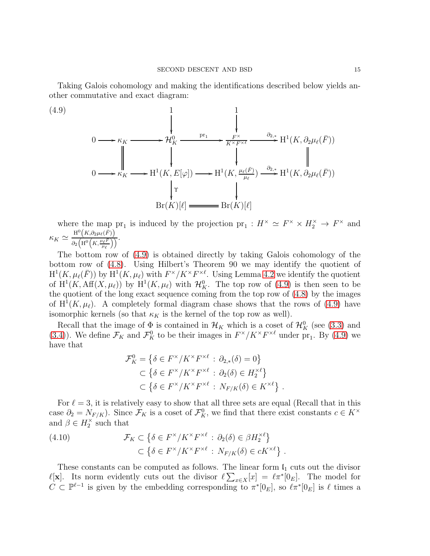Taking Galois cohomology and making the identifications described below yields another commutative and exact diagram:

<span id="page-14-0"></span>(4.9)

$$
0 \longrightarrow \kappa_K \longrightarrow \mathcal{H}_K^0 \longrightarrow \frac{\prod_{\substack{\mathbf{F}^{\times} \\ \mathbf{F}^{\times F^{\times \ell}}} \\ \downarrow}}{\prod_{\substack{\mathbf{F} \\ \mathbf{F} \\ \mathbf{F} \\ \downarrow}} \mathbf{F}^{\mathbf{F}^{\times}} \longrightarrow \mathbf{H}^1(K, \partial_2 \mu_{\ell}(\bar{F}))
$$
\n
$$
0 \longrightarrow \kappa_K \longrightarrow \mathbf{H}^1(K, E[\varphi]) \longrightarrow \mathbf{H}^1(K, \frac{\mu_{\ell}(\bar{F})}{\mu_{\ell}}) \stackrel{\partial_{2,*}}{\longrightarrow} \mathbf{H}^1(K, \partial_2 \mu_{\ell}(\bar{F}))
$$
\n
$$
\downarrow \qquad \qquad \downarrow \qquad \qquad \downarrow \qquad \qquad \downarrow \qquad \qquad \downarrow \qquad \qquad \downarrow \qquad \qquad \downarrow \qquad \downarrow \qquad \downarrow \qquad \downarrow \qquad \downarrow \qquad \downarrow \qquad \downarrow \qquad \downarrow \qquad \downarrow \qquad \downarrow \qquad \downarrow \qquad \downarrow \qquad \downarrow \qquad \downarrow \qquad \downarrow \qquad \downarrow \qquad \downarrow \qquad \downarrow \qquad \downarrow \qquad \downarrow \qquad \downarrow \qquad \downarrow \qquad \downarrow \qquad \downarrow \qquad \downarrow \qquad \downarrow \qquad \downarrow \qquad \downarrow \qquad \downarrow \qquad \downarrow \qquad \downarrow \qquad \downarrow \qquad \downarrow \qquad \downarrow \qquad \downarrow \qquad \downarrow \qquad \downarrow \qquad \downarrow \qquad \downarrow \qquad \downarrow \qquad \downarrow \qquad \downarrow \qquad \downarrow \qquad \downarrow \qquad \downarrow \qquad \downarrow \qquad \downarrow \qquad \downarrow \qquad \downarrow \qquad \downarrow \qquad \downarrow \qquad \downarrow \qquad \downarrow \qquad \downarrow \qquad \downarrow \qquad \downarrow \qquad \downarrow \qquad \downarrow \qquad \downarrow \qquad \downarrow \qquad \downarrow \qquad \downarrow \qquad \downarrow \qquad \downarrow \qquad \downarrow \qquad \downarrow \qquad \downarrow \qquad \downarrow \qquad \downarrow \qquad \downarrow \qquad \downarrow \qquad \downarrow \qquad \downarrow \qquad \downarrow \qquad \downarrow \qquad \downarrow \qquad \
$$

where the map pr<sub>1</sub> is induced by the projection pr<sub>1</sub>:  $H^{\times} \simeq F^{\times} \times H_2^{\times} \to F^{\times}$  and  $\kappa_K \simeq \frac{\mathrm{H}^0\left(K, \partial_2\mu_\ell(\bar{F})\right)}{\frac{2}{\sigma\left(K^0\right)\left(K^0\mu_\ell(\bar{F})\right)}$  $\frac{1}{\partial_2\left(\mathrm{H}^0\left(K,\frac{\mu_\ell\bar{F}}{\mu_\ell}\right)\right)}\cdot$ 

The bottom row of [\(4.9\)](#page-14-0) is obtained directly by taking Galois cohomology of the bottom row of [\(4.8\)](#page-13-1). Using Hilbert's Theorem 90 we may identify the quotient of  $H^1(K,\mu_\ell(\bar{F}))$  by  $H^1(K,\mu_\ell)$  with  $F^{\times}/K^{\times}F^{\times \ell}$ . Using Lemma [4.2](#page-12-3) we identify the quotient of  $H^1(K, \text{Aff}(X, \mu_\ell))$  by  $H^1(K, \mu_\ell)$  with  $\mathcal{H}_K^0$ . The top row of [\(4.9\)](#page-14-0) is then seen to be the quotient of the long exact sequence coming from the top row of [\(4.8\)](#page-13-1) by the images of  $H^1(K,\mu_\ell)$ . A completely formal diagram chase shows that the rows of [\(4.9\)](#page-14-0) have isomorphic kernels (so that  $\kappa_K$  is the kernel of the top row as well).

Recall that the image of  $\Phi$  is contained in  $\mathcal{H}_K$  which is a coset of  $\mathcal{H}_K^0$  (see [\(3.3\)](#page-10-2) and [\(3.4\)](#page-10-3)). We define  $\mathcal{F}_K$  and  $\mathcal{F}_K^0$  to be their images in  $F^{\times}/K^{\times}F^{\times}{}^{\ell}$  under pr<sub>1</sub>. By [\(4.9\)](#page-14-0) we have that

$$
\mathcal{F}_K^0 = \left\{ \delta \in F^\times / K^\times F^{\times \ell} \, : \, \partial_{2,*}(\delta) = 0 \right\}
$$
  

$$
\subset \left\{ \delta \in F^\times / K^\times F^{\times \ell} \, : \, \partial_2(\delta) \in H_2^{\times \ell} \right\}
$$
  

$$
\subset \left\{ \delta \in F^\times / K^\times F^{\times \ell} \, : \, N_{F/K}(\delta) \in K^{\times \ell} \right\}
$$

.

For  $\ell = 3$ , it is relatively easy to show that all three sets are equal (Recall that in this case  $\partial_2 = N_{F/K}$ ). Since  $\mathcal{F}_K$  is a coset of  $\mathcal{F}_K^0$ , we find that there exist constants  $c \in K^{\times}$ and  $\beta \in H_2^{\times}$  such that

<span id="page-14-1"></span>(4.10) 
$$
\mathcal{F}_K \subset \left\{ \delta \in F^\times / K^\times F^{\times \ell} : \partial_2(\delta) \in \beta H_2^{\times \ell} \right\} \\ \subset \left\{ \delta \in F^\times / K^\times F^{\times \ell} : N_{F/K}(\delta) \in cK^{\times \ell} \right\}.
$$

These constants can be computed as follows. The linear form  $I_1$  cuts out the divisor  $\ell[x]$ . Its norm evidently cuts out the divisor  $\ell\sum_{x\in X}[x] = \ell\pi^*[0_E]$ . The model for  $C \subset \mathbb{P}^{\ell-1}$  is given by the embedding corresponding to  $\pi^*[0_E]$ , so  $\ell \pi^*[0_E]$  is  $\ell$  times a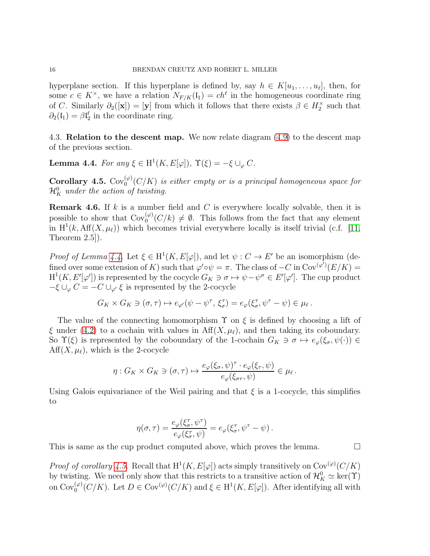hyperplane section. If this hyperplane is defined by, say  $h \in K[u_1, \ldots, u_\ell]$ , then, for some  $c \in K^{\times}$ , we have a relation  $N_{F/K}(\mathfrak{l}_1) = ch^{\ell}$  in the homogeneous coordinate ring of C. Similarly  $\partial_2([\mathbf{x}]) = [\mathbf{y}]$  from which it follows that there exists  $\beta \in H_2^{\times}$  such that  $\partial_2(\mathfrak{l}_1) = \beta \mathfrak{l}_2^{\ell}$  in the coordinate ring.

4.3. **Relation to the descent map.** We now relate diagram  $(4.9)$  to the descent map of the previous section.

<span id="page-15-0"></span>**Lemma 4.4.** For any  $\xi \in H^1(K, E[\varphi])$ ,  $\Upsilon(\xi) = -\xi \cup_{\varphi} C$ .

<span id="page-15-1"></span>**Corollary 4.5.**  $Cov_0^{(\varphi)}(C/K)$  is either empty or is a principal homogeneous space for  $\mathcal{H}_K^0$  under the action of twisting.

**Remark 4.6.** If  $k$  is a number field and  $C$  is everywhere locally solvable, then it is possible to show that  $Cov_0^{(\varphi)}(C/k) \neq \emptyset$ . This follows from the fact that any element in  $H^1(k, Aff(X, \mu_{\ell}))$  which becomes trivial everywhere locally is itself trivial (c.f. [\[11,](#page-32-13) Theorem 2.5]).

*Proof of Lemma [4.4.](#page-15-0)* Let  $\xi \in H^1(K, E[\varphi])$ , and let  $\psi : C \to E'$  be an isomorphism (defined over some extension of K) such that  $\varphi' \circ \psi = \pi$ . The class of  $-C$  in  $Cov^{(\varphi')}(E/K)$  $H^1(K, E'[\varphi'])$  is represented by the cocycle  $G_K \ni \sigma \mapsto \psi - \psi^{\sigma} \in E'[\varphi']$ . The cup product  $-\xi \cup_{\varphi} C = -C \cup_{\varphi'} \xi$  is represented by the 2-cocycle

$$
G_K \times G_K \ni (\sigma, \tau) \mapsto e_{\varphi'}(\psi - \psi^{\tau}, \xi_{\sigma}^{\tau}) = e_{\varphi}(\xi_{\sigma}^{\tau}, \psi^{\tau} - \psi) \in \mu_{\ell}.
$$

The value of the connecting homomorphism  $\Upsilon$  on  $\xi$  is defined by choosing a lift of  $\xi$  under [\(4.2\)](#page-12-0) to a cochain with values in Aff $(X, \mu_{\ell})$ , and then taking its coboundary. So  $\Upsilon(\xi)$  is represented by the coboundary of the 1-cochain  $G_K \ni \sigma \mapsto e_{\varphi}(\xi_{\sigma}, \psi(\cdot)) \in$  $Aff(X, \mu_{\ell})$ , which is the 2-cocycle

$$
\eta: G_K \times G_K \ni (\sigma, \tau) \mapsto \frac{e_{\varphi}(\xi_{\sigma}, \psi)^{\tau} \cdot e_{\varphi}(\xi_{\tau}, \psi)}{e_{\varphi}(\xi_{\sigma \tau}, \psi)} \in \mu_{\ell}.
$$

Using Galois equivariance of the Weil pairing and that  $\xi$  is a 1-cocycle, this simplifies to

$$
\eta(\sigma,\tau) = \frac{e_{\varphi}(\xi_{\sigma}^{\tau},\psi^{\tau})}{e_{\varphi}(\xi_{\sigma}^{\tau},\psi)} = e_{\varphi}(\xi_{\sigma}^{\tau},\psi^{\tau} - \psi).
$$

This is same as the cup product computed above, which proves the lemma.  $\Box$ 

*Proof of corollary [4.5.](#page-15-1)* Recall that  $H^1(K, E[\varphi])$  acts simply transitively on Cov<sup>( $\varphi$ </sup>)( $C/K$ ) by twisting. We need only show that this restricts to a transitive action of  $\mathcal{H}_K^0 \simeq \text{ker}(\Upsilon)$ on  $Cov_0^{(\varphi)}(C/K)$ . Let  $D \in Cov^{(\varphi)}(C/K)$  and  $\xi \in H^1(K, E[\varphi])$ . After identifying all with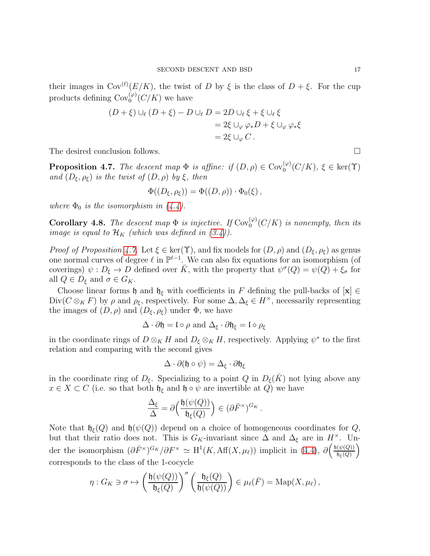their images in  $\text{Cov}^{(\ell)}(E/K)$ , the twist of D by  $\xi$  is the class of  $D + \xi$ . For the cup products defining  $\text{Cov}^{(\varphi)}_0(C/K)$  we have

$$
(D + \xi) \cup_{\ell} (D + \xi) - D \cup_{\ell} D = 2D \cup_{\ell} \xi + \xi \cup_{\ell} \xi
$$
  
= 2\xi \cup\_{\varphi} \varphi\_\* D + \xi \cup\_{\varphi} \varphi\_\* \xi  
= 2\xi \cup\_{\varphi} C.

The desired conclusion follows.

<span id="page-16-0"></span>**Proposition 4.7.** The descent map  $\Phi$  is affine: if  $(D, \rho) \in \text{Cov}_{0}^{(\varphi)}(C/K)$ ,  $\xi \in \text{ker}(\Upsilon)$ and  $(D_{\xi}, \rho_{\xi})$  is the twist of  $(D, \rho)$  by  $\xi$ , then

$$
\Phi((D_{\xi},\rho_{\xi}))=\Phi((D,\rho))\cdot\Phi_{0}(\xi),
$$

where  $\Phi_0$  is the isomorphism in  $(4.4)$ .

<span id="page-16-1"></span>**Corollary 4.8.** The descent map  $\Phi$  is injective. If  $Cov_0^{(\varphi)}(C/K)$  is nonempty, then its image is equal to  $\mathcal{H}_K$  (which was defined in [\(3.4\)](#page-10-3)).

*Proof of Proposition [4.7.](#page-16-0)* Let  $\xi \in \text{ker}(\Upsilon)$ , and fix models for  $(D, \rho)$  and  $(D_{\xi}, \rho_{\xi})$  as genus one normal curves of degree  $\ell$  in  $\mathbb{P}^{\ell-1}$ . We can also fix equations for an isomorphism (of coverings)  $\psi : D_{\xi} \to D$  defined over  $\bar{K}$ , with the property that  $\psi^{\sigma}(Q) = \psi(Q) + \xi_{\sigma}$  for all  $Q \in D_{\xi}$  and  $\sigma \in G_K$ .

Choose linear forms h and  $\mathfrak{h}_{\xi}$  with coefficients in F defining the pull-backs of  $[\mathbf{x}] \in$ Div( $C \otimes_K F$ ) by  $\rho$  and  $\rho_{\xi}$ , respectively. For some  $\Delta, \Delta_{\xi} \in H^{\times}$ , necessarily representing the images of  $(D, \rho)$  and  $(D_{\xi}, \rho_{\xi})$  under  $\Phi$ , we have

$$
\Delta \cdot \partial \mathfrak{h} = \mathfrak{l} \circ \rho \text{ and } \Delta_{\xi} \cdot \partial \mathfrak{h}_{\xi} = \mathfrak{l} \circ \rho_{\xi}
$$

in the coordinate rings of  $D \otimes_K H$  and  $D_{\xi} \otimes_K H$ , respectively. Applying  $\psi^*$  to the first relation and comparing with the second gives

$$
\Delta \cdot \partial (\mathfrak{h} \circ \psi) = \Delta_{\xi} \cdot \partial \mathfrak{h}_{\xi}
$$

in the coordinate ring of  $D_{\xi}$ . Specializing to a point Q in  $D_{\xi}(\bar{K})$  not lying above any  $x \in X \subset C$  (i.e. so that both  $\mathfrak{h}_{\xi}$  and  $\mathfrak{h} \circ \psi$  are invertible at Q) we have

$$
\frac{\Delta_{\xi}}{\Delta} = \partial \left( \frac{\mathfrak{h}(\psi(Q))}{\mathfrak{h}_{\xi}(Q)} \right) \in (\partial \bar{F}^{\times})^{G_K}.
$$

Note that  $\mathfrak{h}_{\xi}(Q)$  and  $\mathfrak{h}(\psi(Q))$  depend on a choice of homogeneous coordinates for Q, but that their ratio does not. This is  $G_K$ -invariant since  $\Delta$  and  $\Delta_{\xi}$  are in  $H^{\times}$ . Under the isomorphism  $(\partial \bar{F}^{\times})^{G_K}/\partial F^{\times} \simeq \mathrm{H}^1(K, \mathrm{Aff}(X, \mu_\ell))$  implicit in [\(4.4\)](#page-12-4),  $\partial \left( \frac{\mathfrak{h}(\psi(Q))}{\mathfrak{h}_{\varepsilon}(Q)} \right)$  $\mathfrak{h}_\xi(Q)$  $\setminus$ corresponds to the class of the 1-cocycle

$$
\eta: G_K \ni \sigma \mapsto \left(\frac{\mathfrak{h}(\psi(Q))}{\mathfrak{h}_{\xi}(Q)}\right)^{\sigma} \left(\frac{\mathfrak{h}_{\xi}(Q)}{\mathfrak{h}(\psi(Q))}\right) \in \mu_{\ell}(\bar{F}) = \mathrm{Map}(X, \mu_{\ell}),
$$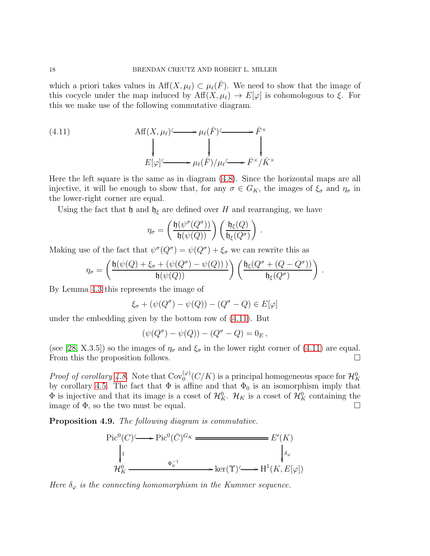which a priori takes values in  $\text{Aff}(X,\mu_\ell) \subset \mu_\ell(\bar{F})$ . We need to show that the image of this cocycle under the map induced by  $\text{Aff}(X,\mu_\ell) \to E[\varphi]$  is cohomologous to  $\xi$ . For this we make use of the following commutative diagram.

<span id="page-17-0"></span>(4.11) 
$$
\mathop{\mathrm{Aff}}\nolimits(X, \mu_{\ell}) \longrightarrow \mu_{\ell}(\bar{F}) \longrightarrow \bar{F}^{\times}
$$

$$
\downarrow \qquad \qquad \downarrow \qquad \qquad \downarrow \qquad \qquad \downarrow
$$

$$
E[\varphi] \longrightarrow \mu_{\ell}(\bar{F})/\mu_{\ell} \longrightarrow \bar{F}^{\times}/\bar{K}^{\times}
$$

Here the left square is the same as in diagram [\(4.8\)](#page-13-1). Since the horizontal maps are all injective, it will be enough to show that, for any  $\sigma \in G_K$ , the images of  $\xi_{\sigma}$  and  $\eta_{\sigma}$  in the lower-right corner are equal.

Using the fact that  $\mathfrak h$  and  $\mathfrak h_{\xi}$  are defined over H and rearranging, we have

$$
\eta_{\sigma} = \left(\frac{\mathfrak{h}(\psi^{\sigma}(Q^{\sigma}))}{\mathfrak{h}(\psi(Q))}\right) \left(\frac{\mathfrak{h}_{\xi}(Q)}{\mathfrak{h}_{\xi}(Q^{\sigma})}\right)
$$

.

Making use of the fact that  $\psi^{\sigma}(Q^{\sigma}) = \psi(Q^{\sigma}) + \xi_{\sigma}$  we can rewrite this as

$$
\eta_{\sigma} = \left(\frac{\mathfrak{h}(\psi(Q) + \xi_{\sigma} + (\psi(Q^{\sigma}) - \psi(Q)))}{\mathfrak{h}(\psi(Q))}\right) \left(\frac{\mathfrak{h}_{\xi}(Q^{\sigma} + (Q - Q^{\sigma}))}{\mathfrak{h}_{\xi}(Q^{\sigma})}\right).
$$

By Lemma [4.3](#page-12-5) this represents the image of

$$
\xi_{\sigma} + (\psi(Q^{\sigma}) - \psi(Q)) - (Q^{\sigma} - Q) \in E[\varphi]
$$

under the embedding given by the bottom row of [\(4.11\)](#page-17-0). But

$$
(\psi(Q^{\sigma}) - \psi(Q)) - (Q^{\sigma} - Q) = 0_E,
$$

(see [\[28,](#page-32-9) X.3.5]) so the images of  $\eta_{\sigma}$  and  $\xi_{\sigma}$  in the lower right corner of [\(4.11\)](#page-17-0) are equal. From this the proposition follows.

*Proof of corollary [4.8.](#page-16-1)* Note that  $Cov_0^{(\varphi)}(C/K)$  is a principal homogeneous space for  $\mathcal{H}_K^0$ by corollary [4.5.](#page-15-1) The fact that  $\Phi$  is affine and that  $\Phi_0$  is an isomorphism imply that  $\Phi$  is injective and that its image is a coset of  $\mathcal{H}_K^0$ .  $\mathcal{H}_K$  is a coset of  $\mathcal{H}_K^0$  containing the image of  $\Phi$ , so the two must be equal.

<span id="page-17-1"></span>Proposition 4.9. The following diagram is commutative.



Here  $\delta_{\varphi}$  is the connecting homomorphism in the Kummer sequence.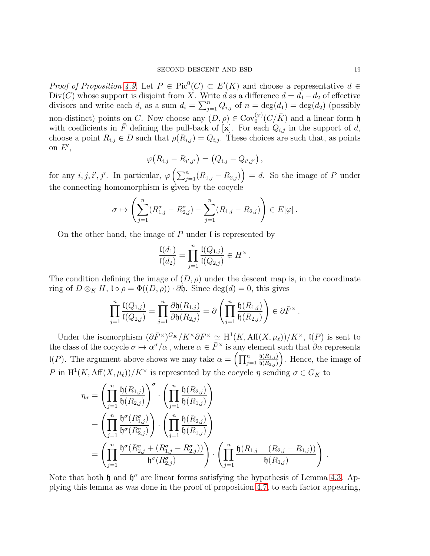*Proof of Proposition [4.9.](#page-17-1)* Let  $P \in Pic^0(C) \subset E'(K)$  and choose a representative  $d \in$ Div(C) whose support is disjoint from X. Write d as a difference  $d = d_1 - d_2$  of effective divisors and write each  $d_i$  as a sum  $d_i = \sum_{j=1}^n Q_{i,j}$  of  $n = \deg(d_1) = \deg(d_2)$  (possibly non-distinct) points on C. Now choose any  $(D, \rho) \in \text{Cov}_0^{(\varphi)}(C/\bar{K})$  and a linear form h with coefficients in  $\overline{F}$  defining the pull-back of  $\overline{[x]}$ . For each  $\overline{Q_{i,j}}$  in the support of d, choose a point  $R_{i,j} \in D$  such that  $\rho(R_{i,j}) = Q_{i,j}$ . These choices are such that, as points on  $E'$ ,

$$
\varphi (R_{i,j} - R_{i',j'}) = (Q_{i,j} - Q_{i',j'}) ,
$$

for any  $i, j, i', j'$ . In particular,  $\varphi\left(\sum_{j=1}^n (R_{1,j} - R_{2,j})\right) = d$ . So the image of P under the connecting homomorphism is given by the cocycle

$$
\sigma \mapsto \left( \sum_{j=1}^n (R_{1,j}^{\sigma} - R_{2,j}^{\sigma}) - \sum_{j=1}^n (R_{1,j} - R_{2,j}) \right) \in E[\varphi].
$$

On the other hand, the image of  $P$  under  $\mathfrak l$  is represented by

$$
\frac{\mathfrak{l}(d_1)}{\mathfrak{l}(d_2)} = \prod_{j=1}^n \frac{\mathfrak{l}(Q_{1,j})}{\mathfrak{l}(Q_{2,j})} \in H^\times.
$$

The condition defining the image of  $(D, \rho)$  under the descent map is, in the coordinate ring of  $D \otimes_K H$ ,  $\mathfrak{l} \circ \rho = \Phi((D, \rho)) \cdot \partial \mathfrak{h}$ . Since  $\deg(d) = 0$ , this gives

$$
\prod_{j=1}^n \frac{\mathfrak{l}(Q_{1,j})}{\mathfrak{l}(Q_{2,j})} = \prod_{j=1}^n \frac{\partial \mathfrak{h}(R_{1,j})}{\partial \mathfrak{h}(R_{2,j})} = \partial \left( \prod_{j=1}^n \frac{\mathfrak{h}(R_{1,j})}{\mathfrak{h}(R_{2,j})} \right) \in \partial \overline{F}^\times.
$$

Under the isomorphism  $(\partial \bar{F}^{\times})^{G_K}/K^{\times} \partial F^{\times} \simeq H^1(K, Aff(X, \mu_{\ell}))/K^{\times}$ ,  $I(P)$  is sent to the class of the cocycle  $\sigma \mapsto \alpha^{\sigma}/\alpha$ , where  $\alpha \in \bar{F}^{\times}$  is any element such that  $\partial \alpha$  represents  $\mathfrak{l}(P)$ . The argument above shows we may take  $\alpha = \left(\prod_{j=1}^n$  $\mathfrak{h}(R_{1,j})$  $\mathfrak{h}(R_{2,j})$  . Hence, the image of P in  $H^1(K, Aff(X, \mu_\ell))/K^\times$  is represented by the cocycle  $\eta$  sending  $\sigma \in G_K$  to

$$
\eta_{\sigma} = \left(\prod_{j=1}^{n} \frac{\mathfrak{h}(R_{1,j})}{\mathfrak{h}(R_{2,j})}\right)^{\sigma} \cdot \left(\prod_{j=1}^{n} \frac{\mathfrak{h}(R_{2,j})}{\mathfrak{h}(R_{1,j})}\right)
$$

$$
= \left(\prod_{j=1}^{n} \frac{\mathfrak{h}^{\sigma}(R_{1,j}^{\sigma})}{\mathfrak{h}^{\sigma}(R_{2,j}^{\sigma})}\right) \cdot \left(\prod_{j=1}^{n} \frac{\mathfrak{h}(R_{2,j})}{\mathfrak{h}(R_{1,j})}\right)
$$

$$
= \left(\prod_{j=1}^{n} \frac{\mathfrak{h}^{\sigma}(R_{2,j}^{\sigma} + (R_{1,j}^{\sigma} - R_{2,j}^{\sigma}))}{\mathfrak{h}^{\sigma}(R_{2,j}^{\sigma})}\right) \cdot \left(\prod_{j=1}^{n} \frac{\mathfrak{h}(R_{1,j} + (R_{2,j} - R_{1,j}))}{\mathfrak{h}(R_{1,j})}\right)
$$

Note that both  $\mathfrak h$  and  $\mathfrak h^{\sigma}$  are linear forms satisfying the hypothesis of Lemma [4.3.](#page-12-5) Applying this lemma as was done in the proof of proposition [4.7,](#page-16-0) to each factor appearing,

.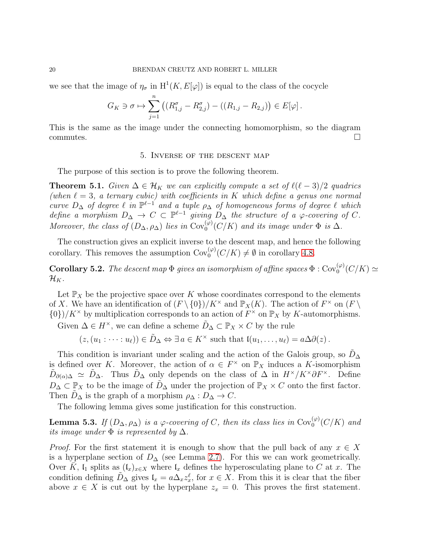we see that the image of  $\eta_{\sigma}$  in  $H^1(K, E[\varphi])$  is equal to the class of the cocycle

$$
G_K \ni \sigma \mapsto \sum_{j=1}^n \left( (R_{1,j}^{\sigma} - R_{2,j}^{\sigma}) - ((R_{1,j} - R_{2,j}) \right) \in E[\varphi].
$$

<span id="page-19-0"></span>This is the same as the image under the connecting homomorphism, so the diagram  $\Box$ commutes.

#### 5. Inverse of the descent map

The purpose of this section is to prove the following theorem.

<span id="page-19-1"></span>**Theorem 5.1.** Given  $\Delta \in \mathcal{H}_K$  we can explicitly compute a set of  $\ell(\ell-3)/2$  quadrics (when  $\ell = 3$ , a ternary cubic) with coefficients in K which define a genus one normal curve  $D_{\Delta}$  of degree  $\ell$  in  $\mathbb{P}^{\ell-1}$  and a tuple  $\rho_{\Delta}$  of homogeneous forms of degree  $\ell$  which define a morphism  $D_{\Delta} \to C \subset \mathbb{P}^{\ell-1}$  giving  $D_{\Delta}$  the structure of a  $\varphi$ -covering of C. Moreover, the class of  $(D_{\Delta}, \rho_{\Delta})$  lies in  $\text{Cov}_0^{(\varphi)}(C/K)$  and its image under  $\Phi$  is  $\Delta$ .

The construction gives an explicit inverse to the descent map, and hence the following corollary. This removes the assumption  $Cov_0^{(\varphi)}(C/K) \neq \emptyset$  in corollary [4.8.](#page-16-1)

**Corollary 5.2.** The descent map  $\Phi$  gives an isomorphism of affine spaces  $\Phi : \text{Cov}_0^{(\varphi)}(C/K) \simeq$  $\mathcal{H}_K$ .

Let  $\mathbb{P}_X$  be the projective space over K whose coordinates correspond to the elements of X. We have an identification of  $(F \setminus \{0\})/K^{\times}$  and  $\mathbb{P}_X(K)$ . The action of  $F^{\times}$  on  $(F \setminus$  $\{0\}/K^{\times}$  by multiplication corresponds to an action of  $F^{\times}$  on  $\mathbb{P}_X$  by K-automorphisms.

Given  $\Delta \in H^{\times}$ , we can define a scheme  $\tilde{D}_{\Delta} \subset \mathbb{P}_{X} \times C$  by the rule

 $(z,(u_1:\cdots:u_\ell))\in \tilde{D}_\Delta \Leftrightarrow \exists a\in K^\times \text{ such that } \mathfrak{l}(u_1,\ldots,u_\ell)=a\Delta\partial(z).$ 

This condition is invariant under scaling and the action of the Galois group, so  $D_{\Delta}$ is defined over K. Moreover, the action of  $\alpha \in F^{\times}$  on  $\mathbb{P}_X$  induces a K-isomorphism  $\tilde{D}_{\partial(\alpha)\Delta} \simeq \tilde{D}_{\Delta}$ . Thus  $\tilde{D}_{\Delta}$  only depends on the class of  $\Delta$  in  $H^{\times}/K^{\times}\partial F^{\times}$ . Define  $D_{\Delta} \subset \mathbb{P}_X$  to be the image of  $\tilde{D}_{\Delta}$  under the projection of  $\mathbb{P}_X \times C$  onto the first factor. Then  $D_{\Delta}$  is the graph of a morphism  $\rho_{\Delta}: D_{\Delta} \to C$ .

The following lemma gives some justification for this construction.

<span id="page-19-2"></span>**Lemma 5.3.** If  $(D_\Delta, \rho_\Delta)$  is a  $\varphi$ -covering of C, then its class lies in  $Cov_0^{(\varphi)}(C/K)$  and its image under  $\Phi$  is represented by  $\Delta$ .

*Proof.* For the first statement it is enough to show that the pull back of any  $x \in X$ is a hyperplane section of  $D_{\Delta}$  (see Lemma [2.7\)](#page-7-1). For this we can work geometrically. Over K,  $\mathfrak{l}_1$  splits as  $(\mathfrak{l}_x)_{x\in X}$  where  $\mathfrak{l}_x$  defines the hyperosculating plane to C at x. The condition defining  $\tilde{D}_{\Delta}$  gives  $\mathfrak{l}_x = a \Delta_x z_x^{\ell}$ , for  $x \in X$ . From this it is clear that the fiber above  $x \in X$  is cut out by the hyperplane  $z_x = 0$ . This proves the first statement.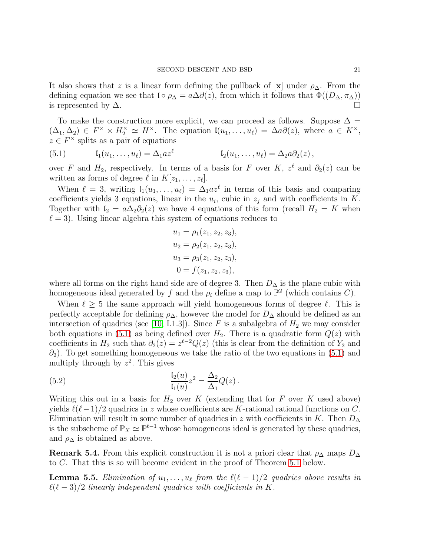It also shows that z is a linear form defining the pullback of  $[x]$  under  $\rho_{\Delta}$ . From the defining equation we see that  $\mathfrak{lo}_{\rho_{\Delta}} = a\Delta\partial(z)$ , from which it follows that  $\Phi((D_{\Delta}, \pi_{\Delta}))$ is represented by  $\Delta$ .

To make the construction more explicit, we can proceed as follows. Suppose  $\Delta =$  $(\Delta_1, \Delta_2) \in F^\times \times H_2^\times \simeq H^\times$ . The equation  $\mathfrak{l}(u_1, \ldots, u_\ell) = \Delta a \partial(z)$ , where  $a \in K^\times$ ,  $z \in F^{\times}$  splits as a pair of equations

<span id="page-20-0"></span>(5.1) 
$$
\mathfrak{l}_1(u_1,\ldots,u_\ell)=\Delta_1 az^\ell \qquad \qquad \mathfrak{l}_2(u_1,\ldots,u_\ell)=\Delta_2 a\partial_2(z)\,,
$$

over F and  $H_2$ , respectively. In terms of a basis for F over K,  $z^{\ell}$  and  $\partial_2(z)$  can be written as forms of degree  $\ell$  in  $K[z_1,\ldots,z_\ell].$ 

When  $\ell = 3$ , writing  $I_1(u_1, \ldots, u_\ell) = \Delta_1 a z^\ell$  in terms of this basis and comparing coefficients yields 3 equations, linear in the  $u_i$ , cubic in  $z_j$  and with coefficients in K. Together with  $I_2 = a\Delta_2\partial_2(z)$  we have 4 equations of this form (recall  $H_2 = K$  when  $\ell = 3$ ). Using linear algebra this system of equations reduces to

$$
u_1 = \rho_1(z_1, z_2, z_3),
$$
  
\n
$$
u_2 = \rho_2(z_1, z_2, z_3),
$$
  
\n
$$
u_3 = \rho_3(z_1, z_2, z_3),
$$
  
\n
$$
0 = f(z_1, z_2, z_3),
$$

where all forms on the right hand side are of degree 3. Then  $D_{\Delta}$  is the plane cubic with homogeneous ideal generated by f and the  $\rho_i$  define a map to  $\mathbb{P}^2$  (which contains C).

When  $\ell \geq 5$  the same approach will yield homogeneous forms of degree  $\ell$ . This is perfectly acceptable for defining  $\rho_{\Delta}$ , however the model for  $D_{\Delta}$  should be defined as an intersection of quadrics (see [\[10,](#page-32-20) I.1.3]). Since F is a subalgebra of  $H_2$  we may consider both equations in [\(5.1\)](#page-20-0) as being defined over  $H_2$ . There is a quadratic form  $Q(z)$  with coefficients in  $H_2$  such that  $\partial_2(z) = z^{\ell-2}Q(z)$  (this is clear from the definition of  $Y_2$  and  $\partial_2$ ). To get something homogeneous we take the ratio of the two equations in [\(5.1\)](#page-20-0) and multiply through by  $z^2$ . This gives

<span id="page-20-1"></span>(5.2) 
$$
\frac{\mathfrak{l}_2(u)}{\mathfrak{l}_1(u)} z^2 = \frac{\Delta_2}{\Delta_1} Q(z) \, .
$$

Writing this out in a basis for  $H_2$  over K (extending that for F over K used above) yields  $\ell(\ell-1)/2$  quadrics in z whose coefficients are K-rational rational functions on C. Elimination will result in some number of quadrics in z with coefficients in K. Then  $D_{\Delta}$ is the subscheme of  $\mathbb{P}_X \simeq \mathbb{P}^{\ell-1}$  whose homogeneous ideal is generated by these quadrics, and  $\rho_{\Delta}$  is obtained as above.

**Remark 5.4.** From this explicit construction it is not a priori clear that  $\rho_{\Delta}$  maps  $D_{\Delta}$ to C. That this is so will become evident in the proof of Theorem [5.1](#page-19-1) below.

**Lemma 5.5.** Elimination of  $u_1, \ldots, u_\ell$  from the  $\ell(\ell-1)/2$  quadrics above results in  $\ell(\ell-3)/2$  linearly independent quadrics with coefficients in K.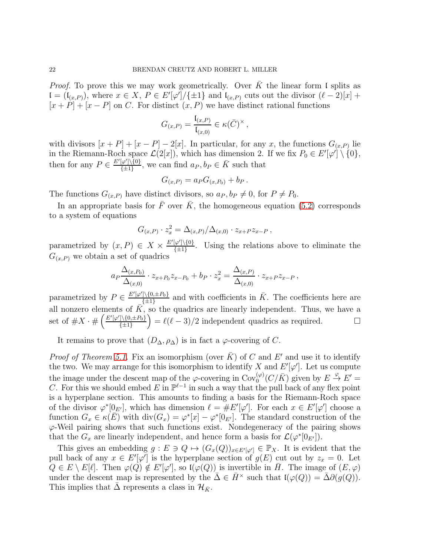*Proof.* To prove this we may work geometrically. Over  $\overline{K}$  the linear form I splits as  $\mathfrak{l} = (\mathfrak{l}_{(x,P)})$ , where  $x \in X$ ,  $P \in E'[\varphi']/\{\pm 1\}$  and  $\mathfrak{l}_{(x,P)}$  cuts out the divisor  $(\ell-2)[x] +$  $[x + P] + [x - P]$  on C. For distinct  $(x, P)$  we have distinct rational functions

$$
G_{(x,P)} = \frac{\mathfrak{l}_{(x,P)}}{\mathfrak{l}_{(x,0)}} \in \kappa(\bar{C})^\times,
$$

with divisors  $[x + P] + [x - P] - 2[x]$ . In particular, for any x, the functions  $G_{(x,P)}$  lie in the Riemann-Roch space  $\mathcal{L}(2[x])$ , which has dimension 2. If we fix  $P_0 \in E'[\varphi'] \setminus \{0\},$ then for any  $P \in \frac{E'[\varphi']\setminus\{0\}}{I+1}$  $\frac{\varphi' \setminus \{0\}}{\{\pm 1\}}$ , we can find  $a_P, b_P \in \overline{K}$  such that

$$
G_{(x,P)} = a_P G_{(x,P_0)} + b_P.
$$

The functions  $G_{(x,P)}$  have distinct divisors, so  $a_P, b_P \neq 0$ , for  $P \neq P_0$ .

In an appropriate basis for  $\overline{F}$  over  $\overline{K}$ , the homogeneous equation [\(5.2\)](#page-20-1) corresponds to a system of equations

$$
G_{(x,P)} \cdot z_x^2 = \Delta_{(x,P)}/\Delta_{(x,0)} \cdot z_{x+P} z_{x-P} ,
$$

parametrized by  $(x, P) \in X \times \frac{E'[\varphi'] \setminus \{0\}}{I+1}$  $\frac{(\varphi_1)\{\{0\}}}{\{\pm 1\}}$ . Using the relations above to eliminate the  $G_{(x,P)}$  we obtain a set of quadrics

$$
a_P \frac{\Delta_{(x,P_0)}}{\Delta_{(x,0)}} \cdot z_{x+P_0} z_{x-P_0} + b_P \cdot z_x^2 = \frac{\Delta_{(x,P)}}{\Delta_{(x,0)}} \cdot z_{x+P} z_{x-P} ,
$$

parametrized by  $P \in \frac{E'[\varphi'] \setminus \{0, \pm P_0\}}{I+1}$  $\frac{1}{\{\pm 1\}}$  and with coefficients in  $\overline{K}$ . The coefficients here are all nonzero elements of  $\overrightarrow{K}$ , so the quadrics are linearly independent. Thus, we have a set of  $\#X \cdot \# \left( \frac{E'[\varphi'] \setminus \{0, \pm P_0\}}{\frac{f+1}{f+1}} \right)$  $\left(\frac{1}{\{1\}}(0,\pm P_0)\right) = \ell(\ell-3)/2$  independent quadrics as required.

It remains to prove that  $(D_{\Delta}, \rho_{\Delta})$  is in fact a  $\varphi$ -covering of C.

*Proof of Theorem [5.1.](#page-19-1)* Fix an isomorphism (over  $\overline{K}$ ) of C and E' and use it to identify the two. We may arrange for this isomorphism to identify X and  $E'[\varphi']$ . Let us compute the image under the descent map of the  $\varphi$ -covering in  $Cov_0^{(\varphi)}(C/\bar{K})$  given by  $E \stackrel{\varphi}{\to} E' =$ C. For this we should embed E in  $\mathbb{P}^{\ell-1}$  in such a way that the pull back of any flex point is a hyperplane section. This amounts to finding a basis for the Riemann-Roch space of the divisor  $\varphi^*[0_{E'}]$ , which has dimension  $\ell = \#E'[\varphi']$ . For each  $x \in E'[\varphi']$  choose a function  $G_x \in \kappa(E)$  with  $\text{div}(G_x) = \varphi^*[x] - \varphi^*[\theta_{E'}].$  The standard construction of the  $\varphi$ -Weil pairing shows that such functions exist. Nondegeneracy of the pairing shows that the  $G_x$  are linearly independent, and hence form a basis for  $\mathcal{L}(\varphi^*[0_{E}]).$ 

This gives an embedding  $g: E \ni Q \mapsto (G_x(Q))_{x \in E'[\varphi']} \in \mathbb{P}_X$ . It is evident that the pull back of any  $x \in E'[\varphi']$  is the hyperplane section of  $g(E)$  cut out by  $z_x = 0$ . Let  $Q \in E \setminus E[\ell]$ . Then  $\varphi(Q) \notin E'[\varphi']$ , so  $\mathfrak{l}(\varphi(Q))$  is invertible in  $\overline{H}$ . The image of  $(E, \varphi)$ under the descent map is represented by the  $\bar{\Delta} \in \bar{H}^{\times}$  such that  $\mathfrak{l}(\varphi(Q)) = \bar{\Delta}\partial(g(Q)).$ This implies that  $\Delta$  represents a class in  $\mathcal{H}_{\bar{K}}$ .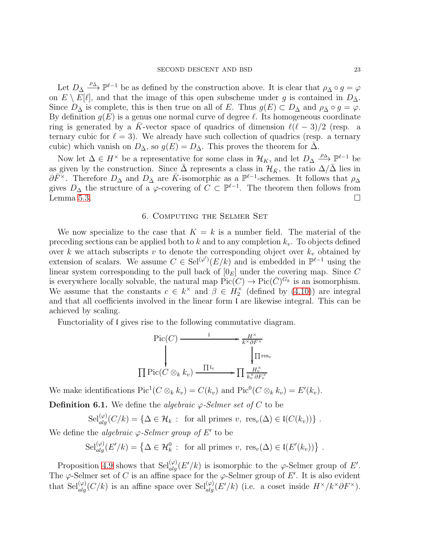Let  $D_{\bar{\Delta}} \stackrel{\rho_{\bar{\Delta}}}{\longrightarrow} \mathbb{P}^{\ell-1}$  be as defined by the construction above. It is clear that  $\rho_{\bar{\Delta}} \circ g = \varphi$ on  $E \setminus E[\ell]$ , and that the image of this open subscheme under g is contained in  $D_{\bar{\Delta}}$ . Since  $D_{\bar{\Delta}}$  is complete, this is then true on all of E. Thus  $g(E) \subset D_{\bar{\Delta}}$  and  $\rho_{\bar{\Delta}} \circ g = \varphi$ . By definition  $g(E)$  is a genus one normal curve of degree  $\ell$ . Its homogeneous coordinate ring is generated by a  $\bar{K}$ -vector space of quadrics of dimension  $\ell(\ell-3)/2$  (resp. a ternary cubic for  $\ell = 3$ ). We already have such collection of quadrics (resp. a ternary cubic) which vanish on  $D_{\bar{\Delta}}$ , so  $g(E) = D_{\bar{\Delta}}$ . This proves the theorem for  $\Delta$ .

Now let  $\Delta \in H^{\times}$  be a representative for some class in  $\mathcal{H}_K$ , and let  $D_{\Delta} \stackrel{\rho_{\Delta}}{\longrightarrow} \mathbb{P}^{\ell-1}$  be as given by the construction. Since  $\bar{\Delta}$  represents a class in  $\mathcal{H}_{\bar{K}}$ , the ratio  $\Delta/\bar{\Delta}$  lies in  $\partial \bar{F}^{\times}$ . Therefore  $D_{\Delta}$  and  $D_{\bar{\Delta}}$  are  $\bar{K}$ -isomorphic as a  $\mathbb{P}^{\ell-1}$ -schemes. It follows that  $\rho_{\Delta}$ gives  $D_{\Delta}$  the structure of a  $\varphi$ -covering of  $C \subset \mathbb{P}^{\ell-1}$ . The theorem then follows from Lemma [5.3.](#page-19-2)  $\Box$ 

### 6. Computing the Selmer Set

<span id="page-22-0"></span>We now specialize to the case that  $K = k$  is a number field. The material of the preceding sections can be applied both to k and to any completion  $k_v$ . To objects defined over k we attach subscripts v to denote the corresponding object over  $k_v$  obtained by extension of scalars. We assume  $C \in \text{Sel}^{(\varphi')}(E/k)$  and is embedded in  $\mathbb{P}^{\ell-1}$  using the linear system corresponding to the pull back of  $[0_F]$  under the covering map. Since C is everywhere locally solvable, the natural map  $Pic(C) \to Pic(\overline{C})^{G_k}$  is an isomorphism. We assume that the constants  $c \in k^{\times}$  and  $\beta \in H_2^{\times}$  (defined by [\(4.10\)](#page-14-1)) are integral and that all coefficients involved in the linear form l are likewise integral. This can be achieved by scaling.

Functoriality of l gives rise to the following commutative diagram.

$$
\text{Pic}(C) \xrightarrow{\qquad \qquad \downarrow} \qquad \qquad \downarrow \qquad \qquad \downarrow \qquad \downarrow \qquad \downarrow \qquad \downarrow \qquad \downarrow \qquad \downarrow \qquad \downarrow \qquad \downarrow \qquad \downarrow \qquad \downarrow \qquad \downarrow \qquad \downarrow \qquad \downarrow \qquad \downarrow \qquad \downarrow \qquad \downarrow \qquad \downarrow \qquad \downarrow \qquad \downarrow \qquad \downarrow \qquad \downarrow \qquad \downarrow \qquad \downarrow \qquad \downarrow \qquad \downarrow \qquad \downarrow \qquad \downarrow \qquad \downarrow \qquad \downarrow \qquad \downarrow \qquad \downarrow \qquad \downarrow \qquad \downarrow \qquad \downarrow \qquad \downarrow \qquad \downarrow \qquad \downarrow \qquad \downarrow \qquad \downarrow \qquad \downarrow \qquad \downarrow \qquad \downarrow \qquad \downarrow \qquad \downarrow \qquad \downarrow \qquad \downarrow \qquad \downarrow \qquad \downarrow \qquad \downarrow \qquad \downarrow \qquad \downarrow \qquad \downarrow \qquad \downarrow \qquad \downarrow \qquad \downarrow \qquad \downarrow \qquad \downarrow \qquad \downarrow \qquad \downarrow \qquad \downarrow \qquad \downarrow \qquad \downarrow \qquad \downarrow \qquad \downarrow \qquad \downarrow \qquad \downarrow \qquad \downarrow \qquad \downarrow \qquad \downarrow \qquad \downarrow \qquad \downarrow \qquad \downarrow \qquad \downarrow \qquad \downarrow \qquad \downarrow \qquad \downarrow \qquad \downarrow \qquad \downarrow \qquad \downarrow \qquad \downarrow \qquad \downarrow \qquad \downarrow \qquad \downarrow \qquad \downarrow \qquad \downarrow \qquad \downarrow \qquad \downarrow \qquad \downarrow \qquad \downarrow \qquad \downarrow \qquad \downarrow \qquad \downarrow \qquad \downarrow \qquad \downarrow \qquad \downarrow \qquad \downarrow \qquad \downarrow \qquad \downarrow \qquad \downarrow \qquad \downarrow \qquad \downarrow \qquad \downarrow \qquad \downarrow \qquad \downarrow \qquad \downarrow \qquad \downarrow \qquad \downarrow \qquad \downarrow \qquad \downarrow \qquad \downarrow \qquad \downarrow \qquad \downarrow \qquad \downarrow \qquad \downarrow \qquad \downarrow \qquad \downarrow \qquad \downarrow \qquad \downarrow \qquad \downarrow \qquad \downarrow \qquad \downarrow \q
$$

We make identifications  $\text{Pic}^1(C \otimes_k k_v) = C(k_v)$  and  $\text{Pic}^0(C \otimes_k k_v) = E'(k_v)$ .

**Definition 6.1.** We define the *algebraic*  $\varphi$ -Selmer set of C to be

 $\operatorname{Sel}_{alg}^{(\varphi)}(C/k) = \{ \Delta \in \mathcal{H}_k : \text{ for all primes } v, \text{ res}_v(\Delta) \in \mathfrak{l}(C(k_v)) \}$ .

We define the *algebraic*  $\varphi$ -Selmer group of E' to be

 $\operatorname{Sel}_{alg}^{(\varphi)}(E'/k) = \left\{ \Delta \in \mathcal{H}_k^0 : \text{ for all primes } v, \text{ res}_v(\Delta) \in \mathfrak{l}(E'(k_v)) \right\}.$ 

Proposition [4.9](#page-17-1) shows that  $\operatorname{Sel}_{alg}^{(\varphi)}(E'/k)$  is isomorphic to the  $\varphi$ -Selmer group of E'. The  $\varphi$ -Selmer set of C is an affine space for the  $\varphi$ -Selmer group of E'. It is also evident that Sel $_{alg}^{(\varphi)}(C/k)$  is an affine space over Sel $_{alg}^{(\varphi)}(E'/k)$  (i.e. a coset inside  $H^{\times}/k^{\times}\partial F^{\times}$ ).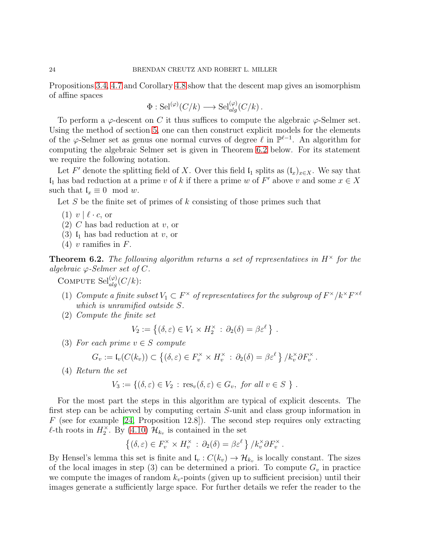Propositions [3.4,](#page-9-0) [4.7](#page-16-0) and Corollary [4.8](#page-16-1) show that the descent map gives an isomorphism of affine spaces

$$
\Phi : \mathrm{Sel}^{(\varphi)}(C/k) \longrightarrow \mathrm{Sel}_{alg}^{(\varphi)}(C/k) .
$$

To perform a  $\varphi$ -descent on C it thus suffices to compute the algebraic  $\varphi$ -Selmer set. Using the method of section [5,](#page-19-0) one can then construct explicit models for the elements of the  $\varphi$ -Selmer set as genus one normal curves of degree  $\ell$  in  $\mathbb{P}^{\ell-1}$ . An algorithm for computing the algebraic Selmer set is given in Theorem [6.2](#page-23-0) below. For its statement we require the following notation.

Let F' denote the splitting field of X. Over this field  $\mathfrak{l}_1$  splits as  $(\mathfrak{l}_x)_{x\in X}$ . We say that  $\mathfrak{l}_1$  has bad reduction at a prime v of k if there a prime w of F' above v and some  $x \in X$ such that  $\mathfrak{l}_x \equiv 0 \mod w$ .

Let S be the finite set of primes of  $k$  consisting of those primes such that

- $(1)$  v  $\ell \cdot c$ , or
- $(2)$  C has bad reduction at v, or
- (3)  $\mathfrak{l}_1$  has bad reduction at v, or
- $(4)$  v ramifies in F.

<span id="page-23-0"></span>**Theorem 6.2.** The following algorithm returns a set of representatives in  $H^{\times}$  for the algebraic  $\varphi$ -Selmer set of C.

COMPUTE  $\operatorname{Sel}_{alg}^{(\varphi)}(C/k)$ :

- (1) Compute a finite subset  $V_1 \subset F^\times$  of representatives for the subgroup of  $F^\times/k^\times F^{\times \ell}$ which is unramified outside S.
- (2) Compute the finite set

$$
V_2 := \{ (\delta, \varepsilon) \in V_1 \times H_2^{\times} : \partial_2(\delta) = \beta \varepsilon^{\ell} \} .
$$

(3) For each prime  $v \in S$  compute

$$
G_v := \mathfrak{l}_v(C(k_v)) \subset \left\{ (\delta, \varepsilon) \in F_v^\times \times H_v^\times : \partial_2(\delta) = \beta \varepsilon^\ell \right\} / k_v^\times \partial F_v^\times.
$$

(4) Return the set

$$
V_3 := \{ (\delta, \varepsilon) \in V_2 : \text{res}_v(\delta, \varepsilon) \in G_v, \text{ for all } v \in S \} .
$$

For the most part the steps in this algorithm are typical of explicit descents. The first step can be achieved by computing certain S-unit and class group information in  $F$  (see for example [\[24,](#page-32-22) Proposition 12.8]). The second step requires only extracting  $\ell$ -th roots in  $H_2^{\times}$ . By [\(4.10\)](#page-14-1)  $\mathcal{H}_{k_v}$  is contained in the set

$$
\{(\delta,\varepsilon)\in F_v^\times\times H_v^\times: \partial_2(\delta)=\beta\varepsilon^\ell\}/k_v^\times\partial F_v^\times.
$$

By Hensel's lemma this set is finite and  $\mathfrak{l}_v : C(k_v) \to \mathcal{H}_{k_v}$  is locally constant. The sizes of the local images in step (3) can be determined a priori. To compute  $G_v$  in practice we compute the images of random  $k_v$ -points (given up to sufficient precision) until their images generate a sufficiently large space. For further details we refer the reader to the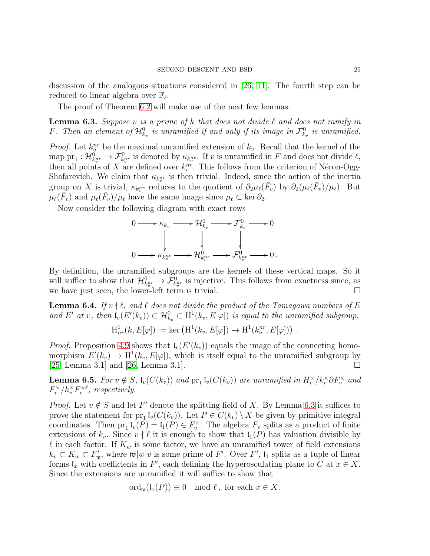discussion of the analogous situations considered in [\[26,](#page-32-3) [11\]](#page-32-13). The fourth step can be reduced to linear algebra over  $\mathbb{F}_{\ell}$ .

The proof of Theorem [6.2](#page-23-0) will make use of the next few lemmas.

<span id="page-24-0"></span>**Lemma 6.3.** Suppose v is a prime of k that does not divide  $\ell$  and does not ramify in F. Then an element of  $\mathcal{H}_{k_v}^0$  is unramified if and only if its image in  $\mathcal{F}_{k_v}^0$  is unramified.

*Proof.* Let  $k_v^{nr}$  be the maximal unramified extension of  $k_v$ . Recall that the kernel of the map  $\text{pr}_1: \mathcal{H}_{k_v^{nr}}^0 \to \mathcal{F}_{k_v^{nr}}^0$  is denoted by  $\kappa_{k_v^{nr}}$ . If v is unramified in F and does not divide  $\ell$ , then all points of X are defined over  $k_v^{nv}$ . This follows from the criterion of Néron-Ogg-Shafarevich. We claim that  $\kappa_{k_v^{nr}}$  is then trivial. Indeed, since the action of the inertia group on X is trivial,  $\kappa_{k_v^{nr}}$  reduces to the quotient of  $\partial_2\mu_\ell(\bar{F}_v)$  by  $\partial_2(\mu_\ell(\bar{F}_v)/\mu_\ell)$ . But  $\mu_{\ell}(\bar{F}_v)$  and  $\mu_{\ell}(\bar{F}_v)/\mu_{\ell}$  have the same image since  $\mu_{\ell} \subset \text{ker } \partial_2$ .

Now consider the following diagram with exact rows

$$
0 \longrightarrow \kappa_{k_v} \longrightarrow \mathcal{H}_{k_v}^0 \longrightarrow \mathcal{F}_{k_v}^0 \longrightarrow 0
$$
  

$$
\downarrow \qquad \qquad \downarrow \qquad \qquad \downarrow
$$
  

$$
0 \longrightarrow \kappa_{k_v^{nr}} \longrightarrow \mathcal{H}_{k_v^{nr}}^0 \longrightarrow \mathcal{F}_{k_v^{nr}}^0 \longrightarrow 0.
$$

By definition, the unramified subgroups are the kernels of these vertical maps. So it will suffice to show that  $\mathcal{H}_{k_v^{n_r}}^0 \to \mathcal{F}_{k_v^{n_r}}^0$  is injective. This follows from exactness since, as we have just seen, the lower-left term is trivial.  $\Box$ 

<span id="page-24-1"></span>**Lemma 6.4.** If  $v \nmid \ell$ , and  $\ell$  does not divide the product of the Tamagawa numbers of E and E' at v, then  $\mathfrak{l}_v(E'(k_v)) \subset \mathcal{H}_{k_v}^0 \subset \mathrm{H}^1(k_v, E[\varphi])$  is equal to the unramified subgroup,

$$
\mathrm{H}^1_{nr}(k, E[\varphi]) := \mathrm{ker} \left( \mathrm{H}^1(k_v, E[\varphi]) \to \mathrm{H}^1(k_v^{nr}, E[\varphi]) \right)
$$

.

*Proof.* Proposition [4.9](#page-17-1) shows that  $\mathfrak{l}_v(E'(k_v))$  equals the image of the connecting homomorphism  $E'(k_v) \to H^1(k_v, E[\varphi])$ , which is itself equal to the unramified subgroup by [\[25,](#page-32-23) Lemma 3.1] and [\[26,](#page-32-3) Lemma 3.1].

**Lemma 6.5.** For  $v \notin S$ ,  $\mathfrak{l}_v(C(k_v))$  and  $\text{pr}_1 \mathfrak{l}_v(C(k_v))$  are unramified in  $H_v^{\times}/k_v^{\times} \partial F_v^{\times}$  and  $F_v^{\times}/k_v^{\times}F_v^{\times \ell}$ , respectively.

*Proof.* Let  $v \notin S$  and let F' denote the splitting field of X. By Lemma [6.3](#page-24-0) it suffices to prove the statement for  $pr_1 \mathfrak{l}_v(C(k_v))$ . Let  $P \in C(k_v) \setminus X$  be given by primitive integral coordinates. Then  $pr_1 \mathfrak{l}_v(P) = \mathfrak{l}_1(P) \in F_v^{\times}$ . The algebra  $F_v$  splits as a product of finite extensions of  $k_v$ . Since  $v \nmid \ell$  it is enough to show that  $\mathfrak{l}_1(P)$  has valuation divisible by  $\ell$  in each factor. If  $K_w$  is some factor, we have an unramified tower of field extensions  $k_v \subset K_w \subset F'_{\mathfrak{w}}$ , where  $\mathfrak{w}|w|v$  is some prime of F'. Over F',  $\mathfrak{l}_1$  splits as a tuple of linear forms  $\mathfrak{l}_x$  with coefficients in F', each defining the hyperosculating plane to C at  $x \in X$ . Since the extensions are unramified it will suffice to show that

$$
\operatorname{ord}_{\mathfrak{w}}(\mathfrak{l}_x(P)) \equiv 0 \mod \ell, \text{ for each } x \in X.
$$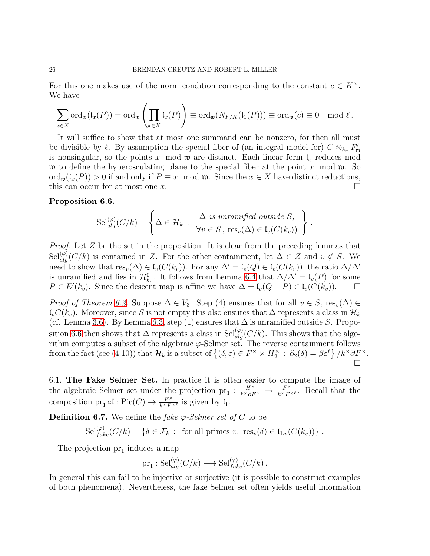For this one makes use of the norm condition corresponding to the constant  $c \in K^{\times}$ . We have

$$
\sum_{x \in X} \mathrm{ord}_{\mathfrak{w}}(\mathfrak{l}_x(P)) = \mathrm{ord}_{\mathfrak{w}}\left(\prod_{x \in X} \mathfrak{l}_x(P)\right) \equiv \mathrm{ord}_{\mathfrak{w}}(N_{F/K}(\mathfrak{l}_1(P))) \equiv \mathrm{ord}_{\mathfrak{w}}(c) \equiv 0 \mod l.
$$

It will suffice to show that at most one summand can be nonzero, for then all must be divisible by  $\ell$ . By assumption the special fiber of (an integral model for)  $C \otimes_{k_v} F'_{\mathfrak{w}}$ is nonsingular, so the points x mod  $\mathfrak{w}$  are distinct. Each linear form  $\mathfrak{l}_x$  reduces mod w to define the hyperosculating plane to the special fiber at the point x mod w. So  $\text{ord}_{\mathfrak{w}}(\mathfrak{l}_x(P)) > 0$  if and only if  $P \equiv x \mod \mathfrak{w}$ . Since the  $x \in X$  have distinct reductions, this can occur for at most one x.  $\Box$ 

# <span id="page-25-0"></span>Proposition 6.6.

$$
\mathrm{Sel}_{alg}^{(\varphi)}(C/k) = \left\{ \Delta \in \mathcal{H}_k : \begin{array}{l} \Delta \text{ is unramified outside } S, \\ \forall v \in S, \mathrm{res}_v(\Delta) \in \mathrm{I}_v(C(k_v)) \end{array} \right\}
$$

.

*Proof.* Let  $Z$  be the set in the proposition. It is clear from the preceding lemmas that  $\text{Sel}_{alg}^{(\varphi)}(C/k)$  is contained in Z. For the other containment, let  $\Delta \in \mathbb{Z}$  and  $v \notin S$ . We need to show that  $res_v(\Delta) \in \mathfrak{l}_v(C(k_v))$ . For any  $\Delta' = \mathfrak{l}_v(Q) \in \mathfrak{l}_v(C(k_v))$ , the ratio  $\Delta/\Delta'$ is unramified and lies in  $\mathcal{H}_{k_v}^0$ . It follows from Lemma [6.4](#page-24-1) that  $\Delta/\Delta' = \mathfrak{l}_v(P)$  for some  $P \in E'(k_v)$ . Since the descent map is affine we have  $\Delta = \mathfrak{l}_v(Q + P) \in \mathfrak{l}_v(C(k_v))$ .  $\Box$ 

*Proof of Theorem [6.2.](#page-23-0)* Suppose  $\Delta \in V_3$ . Step (4) ensures that for all  $v \in S$ , res<sub>v</sub>( $\Delta$ )  $\in$  $\mathcal{L}_vC(k_v)$ . Moreover, since S is not empty this also ensures that ∆ represents a class in  $\mathcal{H}_k$ (cf. Lemma [3.6\)](#page-11-2). By Lemma [6.3,](#page-24-0) step (1) ensures that  $\Delta$  is unramified outside S. Propo-sition [6.6](#page-25-0) then shows that  $\Delta$  represents a class in  $\text{Sel}_{alg}^{(\varphi)}(C/k)$ . This shows that the algorithm computes a subset of the algebraic  $\varphi$ -Selmer set. The reverse containment follows from the fact (see [\(4.10\)](#page-14-1)) that  $\mathcal{H}_k$  is a subset of  $\{(\delta, \varepsilon) \in F^\times \times H_2^\times : \partial_2(\delta) = \beta \varepsilon^\ell\}/k^\times \partial F^\times$ .  $\Box$ 

6.1. The Fake Selmer Set. In practice it is often easier to compute the image of the algebraic Selmer set under the projection pr<sub>1</sub> :  $\frac{H^{\times}}{k^{\times}\partial F^{\times}} \to \frac{F^{\times}}{k^{\times}F^{\times}}$  $\frac{F^{\wedge}}{k^{\times}F^{\times}\ell}$ . Recall that the composition  $pr_1 \circ \mathfrak{l} : Pic(C) \to \frac{F^\times}{k^\times F^{\times \ell}}$  is given by  $\mathfrak{l}_1$ .

**Definition 6.7.** We define the fake  $\varphi$ -Selmer set of C to be

 $\text{Sel}_{fake}^{(\varphi)}(C/k) = \{ \delta \in \mathcal{F}_k : \text{ for all primes } v, \text{ res}_v(\delta) \in \mathfrak{l}_{1,v}(C(k_v)) \}$ .

The projection  $pr_1$  induces a map

$$
\text{pr}_1: \text{Sel}_{alg}^{(\varphi)}(C/k) \longrightarrow \text{Sel}_{fake}^{(\varphi)}(C/k) .
$$

In general this can fail to be injective or surjective (it is possible to construct examples of both phenomena). Nevertheless, the fake Selmer set often yields useful information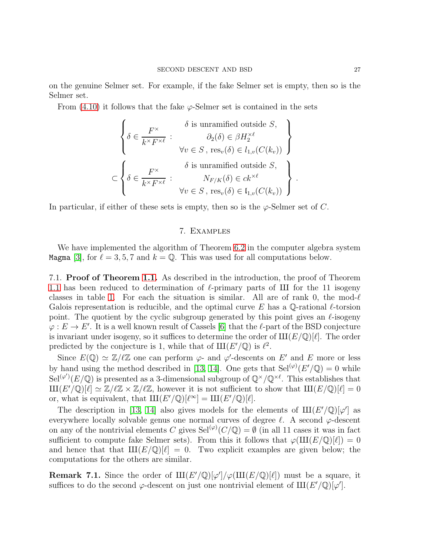on the genuine Selmer set. For example, if the fake Selmer set is empty, then so is the Selmer set.

From  $(4.10)$  it follows that the fake  $\varphi$ -Selmer set is contained in the sets

$$
\begin{cases}\n\delta \in \frac{F^\times}{k^\times F^{\times \ell}} : \begin{array}{c}\n\delta \text{ is unramified outside } S, \\
\partial_2(\delta) \in \beta H_2^{\times \ell} \\
\forall v \in S, \text{ res}_v(\delta) \in l_{1,v}(C(k_v))\n\end{array}\n\end{cases}
$$
\n
$$
\subset \left\{\delta \in \frac{F^\times}{k^\times F^{\times \ell}} : \begin{array}{c}\n\delta \text{ is unramified outside } S, \\
N_{F/K}(\delta) \in ck^{\times \ell} \\
\forall v \in S, \text{ res}_v(\delta) \in l_{1,v}(C(k_v))\n\end{array}\right\}
$$

In particular, if either of these sets is empty, then so is the  $\varphi$ -Selmer set of C.

# 7. Examples

We have implemented the algorithm of Theorem [6.2](#page-23-0) in the computer algebra system Magma [\[3\]](#page-31-6), for  $\ell = 3, 5, 7$  and  $k = \mathbb{Q}$ . This was used for all computations below.

7.1. Proof of Theorem [1.1.](#page-1-0) As described in the introduction, the proof of Theorem [1.1](#page-1-0) has been reduced to determination of  $\ell$ -primary parts of III for the 11 isogeny classes in table [1.](#page-3-0) For each the situation is similar. All are of rank 0, the mod- $\ell$ Galois representation is reducible, and the optimal curve E has a  $\mathbb{Q}$ -rational  $\ell$ -torsion point. The quotient by the cyclic subgroup generated by this point gives an  $\ell$ -isogeny  $\varphi: E \to E'$ . It is a well known result of Cassels [\[6\]](#page-31-5) that the  $\ell$ -part of the BSD conjecture is invariant under isogeny, so it suffices to determine the order of  $III(E/\mathbb{Q})[\ell]$ . The order predicted by the conjecture is 1, while that of  $III(E'/\mathbb{Q})$  is  $\ell^2$ .

Since  $E(\mathbb{Q}) \simeq \mathbb{Z}/\ell \mathbb{Z}$  one can perform  $\varphi$ - and  $\varphi'$ -descents on E' and E more or less by hand using the method described in [\[13,](#page-32-5) [14\]](#page-32-6). One gets that  $\text{Sel}^{(\varphi)}(E'/\mathbb{Q}) = 0$  while  $\operatorname{Sel}^{(\varphi')}(E/\mathbb{Q})$  is presented as a 3-dimensional subgroup of  $\mathbb{Q}^\times/\mathbb{Q}^{\times \ell}$ . This establishes that  $\text{III}(E'(\mathbb{Q})[\ell] \simeq \mathbb{Z}/\ell\mathbb{Z} \times \mathbb{Z}/\ell\mathbb{Z}$ , however it is not sufficient to show that  $\text{III}(E/\mathbb{Q})[\ell] = 0$ or, what is equivalent, that  $III(E'/\mathbb{Q})[\ell^{\infty}] = III(E'/\mathbb{Q})[\ell].$ 

The description in [\[13,](#page-32-5) [14\]](#page-32-6) also gives models for the elements of  $III(E'/\mathbb{Q})[\varphi']$  as everywhere locally solvable genus one normal curves of degree  $\ell$ . A second  $\varphi$ -descent on any of the nontrivial elements C gives  $\operatorname{Sel}^{(\varphi)}(C/\mathbb{Q}) = \emptyset$  (in all 11 cases it was in fact sufficient to compute fake Selmer sets). From this it follows that  $\varphi(\text{III}(E/\mathbb{Q})[\ell]) = 0$ and hence that that  $III(E/\mathbb{Q})[\ell] = 0$ . Two explicit examples are given below; the computations for the others are similar.

**Remark 7.1.** Since the order of  $\text{III}(E'(\mathbb{Q})[\varphi']/\varphi(\text{III}(E/\mathbb{Q})[\ell])$  must be a square, it suffices to do the second  $\varphi$ -descent on just one nontrivial element of  $\text{III}(E'/\mathbb{Q})[\varphi']$ .

.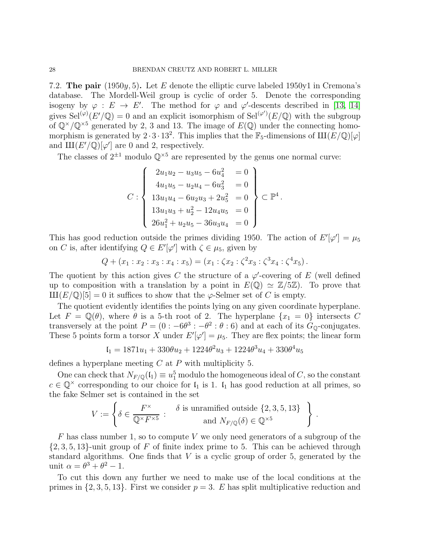7.2. The pair (1950y, 5). Let E denote the elliptic curve labeled 1950y1 in Cremona's database. The Mordell-Weil group is cyclic of order 5. Denote the corresponding isogeny by  $\varphi : E \to E'$ . The method for  $\varphi$  and  $\varphi'$ -descents described in [\[13,](#page-32-5) [14\]](#page-32-6) gives  $\operatorname{Sel}^{(\varphi)}(E' / \mathbb{Q}) = 0$  and an explicit isomorphism of  $\operatorname{Sel}^{(\varphi')}(E / \mathbb{Q})$  with the subgroup of  $\mathbb{Q}^{\times}/\mathbb{Q}^{\times 5}$  generated by 2, 3 and 13. The image of  $E(\mathbb{Q})$  under the connecting homomorphism is generated by  $2 \cdot 3 \cdot 13^2$ . This implies that the  $\mathbb{F}_5$ -dimensions of  $\text{III}(E/\mathbb{Q})[\varphi]$ and  $\text{III}(E'/\mathbb{Q})[\varphi']$  are 0 and 2, respectively.

The classes of  $2^{\pm 1}$  modulo  $\mathbb{Q}^{\times 5}$  are represented by the genus one normal curve:

$$
C: \begin{cases} 2u_1u_2 - u_3u_5 - 6u_4^2 & = 0 \\ 4u_1u_5 - u_2u_4 - 6u_3^2 & = 0 \\ 13u_1u_4 - 6u_2u_3 + 2u_5^2 & = 0 \\ 13u_1u_3 + u_2^2 - 12u_4u_5 & = 0 \\ 26u_1^2 + u_2u_5 - 36u_3u_4 & = 0 \end{cases} \subset \mathbb{P}^4
$$

.

.

This has good reduction outside the primes dividing 1950. The action of  $E'[\varphi'] = \mu_5$ on C is, after identifying  $Q \in E'[\varphi']$  with  $\zeta \in \mu_5$ , given by

$$
Q + (x_1 : x_2 : x_3 : x_4 : x_5) = (x_1 : \zeta x_2 : \zeta^2 x_3 : \zeta^3 x_4 : \zeta^4 x_5).
$$

The quotient by this action gives C the structure of a  $\varphi'$ -covering of E (well defined up to composition with a translation by a point in  $E(\mathbb{Q}) \simeq \mathbb{Z}/5\mathbb{Z}$ . To prove that  $\text{III}(E/\mathbb{Q})[5] = 0$  it suffices to show that the  $\varphi$ -Selmer set of C is empty.

The quotient evidently identifies the points lying on any given coordinate hyperplane. Let  $F = \mathbb{Q}(\theta)$ , where  $\theta$  is a 5-th root of 2. The hyperplane  $\{x_1 = 0\}$  intersects C transversely at the point  $P = (0 : -6\theta^3 : -\theta^2 : \theta : 6)$  and at each of its  $G_{\mathbb{Q}}$ -conjugates. These 5 points form a torsor X under  $E'[\varphi'] = \mu_5$ . They are flex points; the linear form

$$
I_1 = 1871u_1 + 330\theta u_2 + 1224\theta^2 u_3 + 1224\theta^3 u_4 + 330\theta^4 u_5
$$

defines a hyperplane meeting  $C$  at  $P$  with multiplicity 5.

One can check that  $N_{F/\mathbb{Q}}(I_1) \equiv u_1^5$  modulo the homogeneous ideal of C, so the constant  $c \in \mathbb{Q}^{\times}$  corresponding to our choice for  $\mathfrak{l}_1$  is 1.  $\mathfrak{l}_1$  has good reduction at all primes, so the fake Selmer set is contained in the set

$$
V := \left\{ \delta \in \frac{F^{\times}}{\mathbb{Q}^{\times} F^{\times 5}} : \begin{array}{c} \delta \text{ is unramified outside } \{2, 3, 5, 13\} \\ \text{and } N_{F/\mathbb{Q}}(\delta) \in \mathbb{Q}^{\times 5} \end{array} \right\}
$$

 $F$  has class number 1, so to compute V we only need generators of a subgroup of the  $\{2,3,5,13\}$ -unit group of F of finite index prime to 5. This can be achieved through standard algorithms. One finds that  $V$  is a cyclic group of order 5, generated by the unit  $\alpha = \theta^3 + \theta^2 - 1$ .

To cut this down any further we need to make use of the local conditions at the primes in  $\{2, 3, 5, 13\}$ . First we consider  $p = 3$ . E has split multiplicative reduction and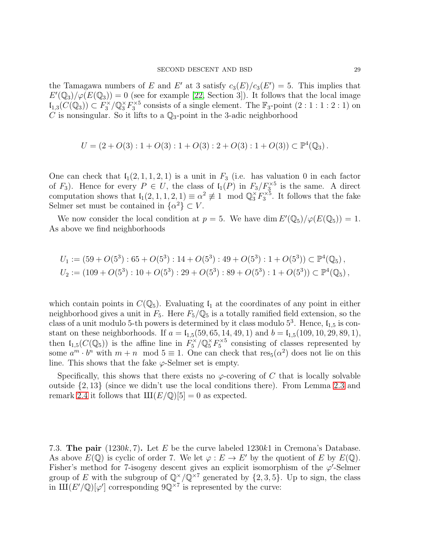the Tamagawa numbers of E and E' at 3 satisfy  $c_3(E)/c_3(E')=5$ . This implies that  $E'(\mathbb{Q}_3)/\varphi(E(\mathbb{Q}_3))=0$  (see for example [\[22,](#page-32-11) Section 3]). It follows that the local image  $\mathfrak{l}_{1,3}(C(\mathbb{Q}_3)) \subset F_3^\times/\mathbb{Q}_3^\times F_3^{\times 5}$  consists of a single element. The  $\mathbb{F}_3$ -point  $(2:1:1:2:1)$  on C is nonsingular. So it lifts to a  $\mathbb{Q}_3$ -point in the 3-adic neighborhood

$$
U = (2 + O(3) : 1 + O(3) : 1 + O(3) : 2 + O(3) : 1 + O(3)) \subset \mathbb{P}^4(\mathbb{Q}_3).
$$

One can check that  $I_1(2, 1, 1, 2, 1)$  is a unit in  $F_3$  (i.e. has valuation 0 in each factor of  $F_3$ ). Hence for every  $P \in U$ , the class of  $\mathfrak{l}_1(P)$  in  $F_3/F_3^{\times 5}$  is the same. A direct computation shows that  $I_1(2, 1, 1, 2, 1) \equiv \alpha^2 \not\equiv 1 \mod \mathbb{Q}_3^{\times} F_3^{\times 5}$ . It follows that the fake Selmer set must be contained in  $\{\alpha^2\} \subset V$ .

We now consider the local condition at  $p = 5$ . We have dim  $E'(\mathbb{Q}_5)/\varphi(E(\mathbb{Q}_5)) = 1$ . As above we find neighborhoods

$$
U_1 := (59 + O(5^3) : 65 + O(5^3) : 14 + O(5^3) : 49 + O(5^3) : 1 + O(5^3)) \subset \mathbb{P}^4(\mathbb{Q}_5),
$$
  
\n
$$
U_2 := (109 + O(5^3) : 10 + O(5^3) : 29 + O(5^3) : 89 + O(5^3) : 1 + O(5^3)) \subset \mathbb{P}^4(\mathbb{Q}_5),
$$

which contain points in  $C(\mathbb{Q}_5)$ . Evaluating  $\mathfrak{l}_1$  at the coordinates of any point in either neighborhood gives a unit in  $F_5$ . Here  $F_5/\mathbb{Q}_5$  is a totally ramified field extension, so the class of a unit modulo 5-th powers is determined by it class modulo  $5^3$ . Hence,  $I_{1,5}$  is constant on these neighborhoods. If  $a = \mathfrak{l}_{1,5}(59, 65, 14, 49, 1)$  and  $b = \mathfrak{l}_{1,5}(109, 10, 29, 89, 1)$ , then  $\mathfrak{l}_{1,5}(C(\mathbb{Q}_5))$  is the affine line in  $F_5^{\times}/\mathbb{Q}_5^{\times}F_5^{\times 5}$  consisting of classes represented by some  $a^m \cdot b^n$  with  $m + n \mod 5 \equiv 1$ . One can check that  $res_5(\alpha^2)$  does not lie on this line. This shows that the fake  $\varphi$ -Selmer set is empty.

Specifically, this shows that there exists no  $\varphi$ -covering of C that is locally solvable outside {2, 13} (since we didn't use the local conditions there). From Lemma [2.3](#page-5-2) and remark [2.4](#page-6-0) it follows that  $III(E/\mathbb{Q})[5] = 0$  as expected.

7.3. The pair  $(1230k, 7)$ . Let E be the curve labeled 1230k1 in Cremona's Database. As above  $E(\mathbb{Q})$  is cyclic of order 7. We let  $\varphi : E \to E'$  by the quotient of E by  $E(\mathbb{Q})$ . Fisher's method for 7-isogeny descent gives an explicit isomorphism of the  $\varphi'$ -Selmer group of E with the subgroup of  $\mathbb{Q}^{\times}/\mathbb{Q}^{\times7}$  generated by  $\{2,3,5\}$ . Up to sign, the class in  $\mathrm{III}(E'/\mathbb{Q})[\varphi']$  corresponding  $9\mathbb{Q}^{\times 7}$  is represented by the curve: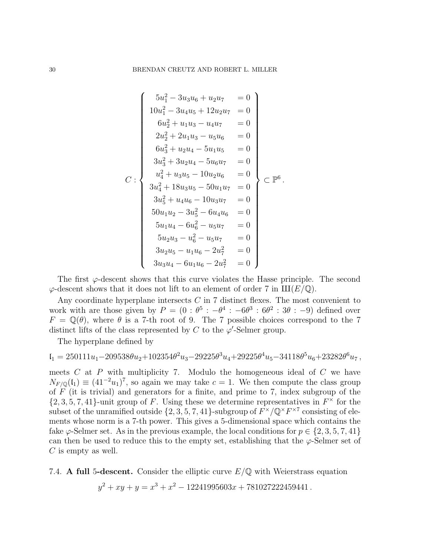$$
C: \begin{cases} 5u_1^2 - 3u_3u_6 + u_2u_7 &= 0 \\ 10u_1^2 - 3u_4u_5 + 12u_2u_7 &= 0 \\ 6u_2^2 + u_1u_3 - u_4u_7 &= 0 \\ 2u_2^2 + 2u_1u_3 - u_5u_6 &= 0 \\ 6u_3^2 + u_2u_4 - 5u_1u_5 &= 0 \\ 3u_3^2 + 3u_2u_4 - 5u_6u_7 &= 0 \\ u_4^2 + u_3u_5 - 10u_2u_6 &= 0 \\ 3u_4^2 + 18u_3u_5 - 50u_1u_7 &= 0 \\ 3u_5^2 + u_4u_6 - 10u_3u_7 &= 0 \\ 50u_1u_2 - 3u_5^2 - 6u_4u_6 &= 0 \\ 5u_1u_4 - 6u_6^2 - u_5u_7 &= 0 \\ 5u_2u_3 - u_6^2 - u_5u_7 &= 0 \\ 3u_2u_5 - u_1u_6 - 2u_7^2 &= 0 \\ 3u_3u_4 - 6u_1u_6 - 2u_7^2 &= 0 \end{cases}
$$

The first  $\varphi$ -descent shows that this curve violates the Hasse principle. The second  $\varphi$ -descent shows that it does not lift to an element of order 7 in  $III(E/\mathbb{Q})$ .

Any coordinate hyperplane intersects  $C$  in 7 distinct flexes. The most convenient to work with are those given by  $P = (0 : \theta^5 : -\theta^4 : -6\theta^3 : 6\theta^2 : 3\theta : -9)$  defined over  $F = \mathbb{Q}(\theta)$ , where  $\theta$  is a 7-th root of 9. The 7 possible choices correspond to the 7 distinct lifts of the class represented by C to the  $\varphi'$ -Selmer group.

The hyperplane defined by

$$
\mathfrak{l}_1=250111u_1-209538\theta u_2+102354\theta^2 u_3-29225\theta^3 u_4+29225\theta^4 u_5-34118\theta^5 u_6+23282\theta^6 u_7\,,
$$

meets  $C$  at  $P$  with multiplicity 7. Modulo the homogeneous ideal of  $C$  we have  $N_{F/\mathbb{Q}}(\mathfrak{l}_1) \equiv (41^{-2}u_1)^7$ , so again we may take  $c=1$ . We then compute the class group of  $\overline{F}$  (it is trivial) and generators for a finite, and prime to 7, index subgroup of the  $\{2, 3, 5, 7, 41\}$ -unit group of F. Using these we determine representatives in  $F^{\times}$  for the subset of the unramified outside  $\{2, 3, 5, 7, 41\}$ -subgroup of  $F^{\times}/\mathbb{Q}^{\times}F^{\times 7}$  consisting of elements whose norm is a 7-th power. This gives a 5-dimensional space which contains the fake  $\varphi$ -Selmer set. As in the previous example, the local conditions for  $p \in \{2, 3, 5, 7, 41\}$ can then be used to reduce this to the empty set, establishing that the  $\varphi$ -Selmer set of  $C$  is empty as well.

7.4. A full 5-descent. Consider the elliptic curve  $E/\mathbb{Q}$  with Weierstrass equation

$$
y^2 + xy + y = x^3 + x^2 - 12241995603x + 781027222459441.
$$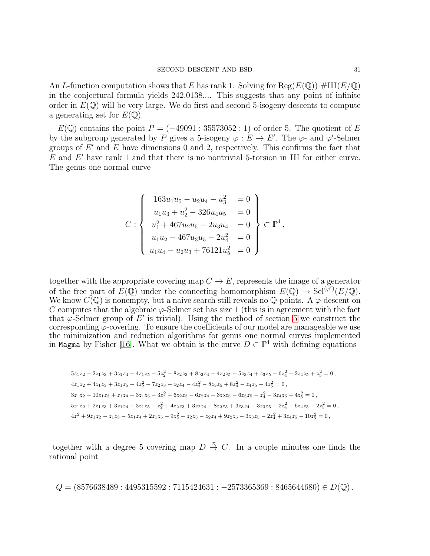An L-function computation shows that E has rank 1. Solving for  $\text{Reg}(E(\mathbb{Q})) \cdot \# \text{III}(E/\mathbb{Q})$ in the conjectural formula yields 242.0138.... This suggests that any point of infinite order in  $E(\mathbb{Q})$  will be very large. We do first and second 5-isogeny descents to compute a generating set for  $E(\mathbb{Q})$ .

 $E(\mathbb{Q})$  contains the point  $P = (-49091 : 35573052 : 1)$  of order 5. The quotient of E by the subgroup generated by P gives a 5-isogeny  $\varphi : E \to E'$ . The  $\varphi$ - and  $\varphi'$ -Selmer groups of  $E'$  and  $E$  have dimensions 0 and 2, respectively. This confirms the fact that  $E$  and  $E'$  have rank 1 and that there is no nontrivial 5-torsion in III for either curve. The genus one normal curve

$$
C: \begin{cases} 163u_1u_5 - u_2u_4 - u_3^2 &= 0 \\ u_1u_3 + u_2^2 - 326u_4u_5 &= 0 \\ u_1^2 + 467u_2u_5 - 2u_3u_4 &= 0 \\ u_1u_2 - 467u_3u_5 - 2u_4^2 &= 0 \\ u_1u_4 - u_2u_3 + 76121u_5^2 &= 0 \end{cases} \subset \mathbb{P}^4,
$$

together with the appropriate covering map  $C \to E$ , represents the image of a generator of the free part of  $E(\mathbb{Q})$  under the connecting homomorphism  $E(\mathbb{Q}) \to \text{Sel}^{(\varphi')}(E/\mathbb{Q})$ . We know  $C(\mathbb{Q})$  is nonempty, but a naive search still reveals no  $\mathbb{Q}$ -points. A  $\varphi$ -descent on C computes that the algebraic  $\varphi$ -Selmer set has size 1 (this is in agreement with the fact that  $\varphi$ -Selmer group of E' is trivial). Using the method of section [5](#page-19-0) we construct the corresponding  $\varphi$ -covering. To ensure the coefficients of our model are manageable we use the minimization and reduction algorithms for genus one normal curves implemented in Magma by Fisher [\[16\]](#page-32-19). What we obtain is the curve  $D \subset \mathbb{P}^4$  with defining equations

$$
5z_1z_2 - 2z_1z_3 + 3z_1z_4 + 4z_1z_5 - 5z_2^2 - 8z_2z_3 + 8z_2z_4 - 4z_2z_5 - 5z_3z_4 + z_3z_5 + 6z_4^2 - 2z_4z_5 + z_5^2 = 0,
$$
  
\n
$$
4z_1z_2 + 4z_1z_3 + 3z_1z_5 - 4z_2^2 - 7z_2z_3 - z_2z_4 - 4z_3^2 - 8z_3z_5 + 8z_4^2 - z_4z_5 + 4z_5^2 = 0,
$$
  
\n
$$
3z_1z_2 - 10z_1z_3 + z_1z_4 + 3z_1z_5 - 3z_2^2 + 6z_2z_3 - 6z_2z_4 + 3z_2z_5 - 6z_3z_5 - z_4^2 - 3z_4z_5 + 4z_5^2 = 0,
$$
  
\n
$$
5z_1z_2 + 2z_1z_3 + 3z_1z_4 + 3z_1z_5 - z_2^2 + 4z_2z_3 + 3z_2z_4 - 8z_2z_5 + 3z_3z_4 - 3z_3z_5 + 2z_4^2 - 6z_4z_5 - 2z_5^2 = 0,
$$
  
\n
$$
4z_1^2 + 9z_1z_2 - z_1z_3 - 5z_1z_4 + 2z_1z_5 - 9z_2^2 - z_2z_3 - z_2z_4 + 9z_2z_5 - 3z_3z_5 - 2z_4^2 + 3z_4z_5 - 10z_5^2 = 0,
$$

together with a degree 5 covering map  $D \stackrel{\pi}{\rightarrow} C$ . In a couple minutes one finds the rational point

 $Q = (8576638489 : 4495315592 : 7115424631 : -2573365369 : 8465644680) \in D(\mathbb{Q})$ .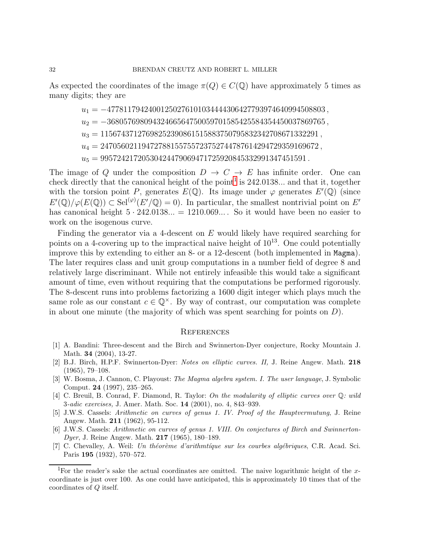As expected the coordinates of the image  $\pi(Q) \in C(\mathbb{Q})$  have approximately 5 times as many digits; they are

 $u_1 = -47781179424001250276101034444306427793974640994508803,$  $u_2 = -36805769809432466564750059701585425584354450037869765,$  $u_3 = 11567437127698252390861515883750795832342708671332291$ ,  $\label{eq:u4} u_4 = 24705602119472788155755723752744787614294729359169672\,,$  $u_5 = 99572421720530424479069471725920845332991347451591$ .

The image of Q under the composition  $D \to C \to E$  has infinite order. One can check directly that the canonical height of the point<sup>[1](#page-31-7)</sup> is  $242.0138...$  and that it, together with the torsion point P, generates  $E(\mathbb{Q})$ . Its image under  $\varphi$  generates  $E'(\mathbb{Q})$  (since  $E'(\mathbb{Q})/\varphi(E(\mathbb{Q})) \subset \text{Sel}^{(\varphi)}(E'/\mathbb{Q}) = 0$ . In particular, the smallest nontrivial point on E' has canonical height  $5 \cdot 242.0138... = 1210.069...$  So it would have been no easier to work on the isogenous curve.

Finding the generator via a 4-descent on E would likely have required searching for points on a 4-covering up to the impractical naive height of  $10^{13}$ . One could potentially improve this by extending to either an 8- or a 12-descent (both implemented in Magma). The later requires class and unit group computations in a number field of degree 8 and relatively large discriminant. While not entirely infeasible this would take a significant amount of time, even without requiring that the computations be performed rigorously. The 8-descent runs into problems factorizing a 1600 digit integer which plays much the same role as our constant  $c \in \mathbb{Q}^{\times}$ . By way of contrast, our computation was complete in about one minute (the majority of which was spent searching for points on  $D$ ).

# **REFERENCES**

- <span id="page-31-2"></span>[1] A. Bandini: Three-descent and the Birch and Swinnerton-Dyer conjecture, Rocky Mountain J. Math. 34 (2004), 13-27.
- <span id="page-31-1"></span>[2] B.J. Birch, H.P.F. Swinnerton-Dyer: *Notes on elliptic curves. II,* J. Reine Angew. Math. 218 (1965), 79–108.
- <span id="page-31-6"></span>[3] W. Bosma, J. Cannon, C. Playoust: *The Magma algebra system. I. The user language*, J. Symbolic Comput. 24 (1997), 235–265.
- <span id="page-31-0"></span>[4] C. Breuil, B. Conrad, F. Diamond, R. Taylor: *On the modularity of elliptic curves over* Q*: wild* 3*-adic exercises,* J. Amer. Math. Soc. 14 (2001), no. 4, 843–939.
- <span id="page-31-3"></span>[5] J.W.S. Cassels: *Arithmetic on curves of genus 1. IV. Proof of the Hauptvermutung*, J. Reine Angew. Math. 211 (1962), 95-112.
- <span id="page-31-5"></span>[6] J.W.S. Cassels: *Arithmetic on curves of genus 1. VIII. On conjectures of Birch and Swinnerton-Dyer*, J. Reine Angew. Math. 217 (1965), 180–189.
- <span id="page-31-4"></span>[7] C. Chevalley, A. Weil: *Un th´eor`eme d'arithmt´ıque sur les courbes alg´ebriques*, C.R. Acad. Sci. Paris 195 (1932), 570–572.

<span id="page-31-7"></span><sup>&</sup>lt;sup>1</sup>For the reader's sake the actual coordinates are omitted. The naive logarithmic height of the xcoordinate is just over 100. As one could have anticipated, this is approximately 10 times that of the coordinates of Q itself.